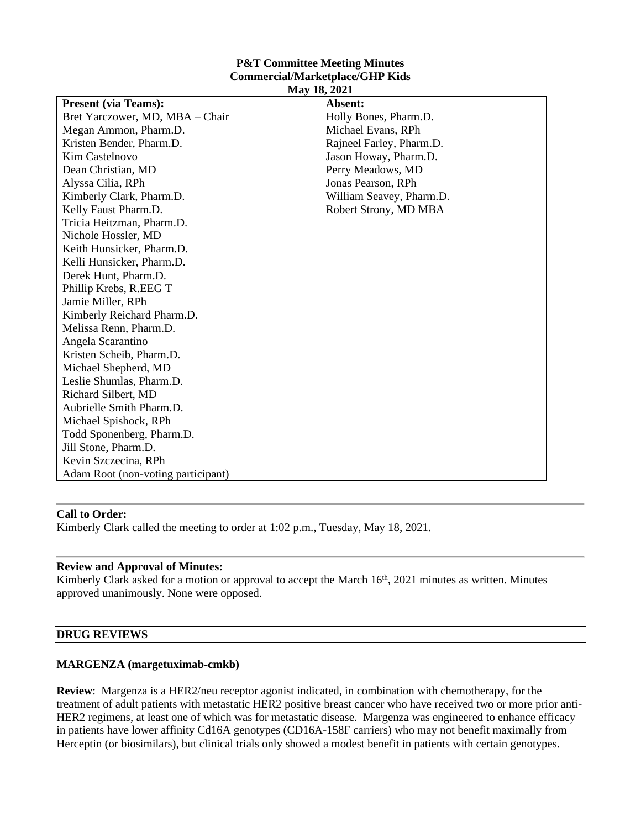#### **P&T Committee Meeting Minutes Commercial/Marketplace/GHP Kids May 18, 2021**

| <b>IVIAY 10, 2021</b>              |                          |
|------------------------------------|--------------------------|
| <b>Present (via Teams):</b>        | Absent:                  |
| Bret Yarczower, MD, MBA - Chair    | Holly Bones, Pharm.D.    |
| Megan Ammon, Pharm.D.              | Michael Evans, RPh       |
| Kristen Bender, Pharm.D.           | Rajneel Farley, Pharm.D. |
| <b>Kim Castelnovo</b>              | Jason Howay, Pharm.D.    |
| Dean Christian, MD                 | Perry Meadows, MD        |
| Alyssa Cilia, RPh                  | Jonas Pearson, RPh       |
| Kimberly Clark, Pharm.D.           | William Seavey, Pharm.D. |
| Kelly Faust Pharm.D.               | Robert Strony, MD MBA    |
| Tricia Heitzman, Pharm.D.          |                          |
| Nichole Hossler, MD                |                          |
| Keith Hunsicker, Pharm.D.          |                          |
| Kelli Hunsicker, Pharm.D.          |                          |
| Derek Hunt, Pharm.D.               |                          |
| Phillip Krebs, R.EEG T             |                          |
| Jamie Miller, RPh                  |                          |
| Kimberly Reichard Pharm.D.         |                          |
| Melissa Renn, Pharm.D.             |                          |
| Angela Scarantino                  |                          |
| Kristen Scheib, Pharm.D.           |                          |
| Michael Shepherd, MD               |                          |
| Leslie Shumlas, Pharm.D.           |                          |
| Richard Silbert, MD                |                          |
| Aubrielle Smith Pharm.D.           |                          |
| Michael Spishock, RPh              |                          |
| Todd Sponenberg, Pharm.D.          |                          |
| Jill Stone, Pharm.D.               |                          |
| Kevin Szczecina, RPh               |                          |
| Adam Root (non-voting participant) |                          |

# **Call to Order:**

Kimberly Clark called the meeting to order at 1:02 p.m., Tuesday, May 18, 2021.

# **Review and Approval of Minutes:**

Kimberly Clark asked for a motion or approval to accept the March 16<sup>th</sup>, 2021 minutes as written. Minutes approved unanimously. None were opposed.

## **DRUG REVIEWS**

# **MARGENZA (margetuximab-cmkb)**

**Review**: Margenza is a HER2/neu receptor agonist indicated, in combination with chemotherapy, for the treatment of adult patients with metastatic HER2 positive breast cancer who have received two or more prior anti-HER2 regimens, at least one of which was for metastatic disease. Margenza was engineered to enhance efficacy in patients have lower affinity Cd16A genotypes (CD16A-158F carriers) who may not benefit maximally from Herceptin (or biosimilars), but clinical trials only showed a modest benefit in patients with certain genotypes.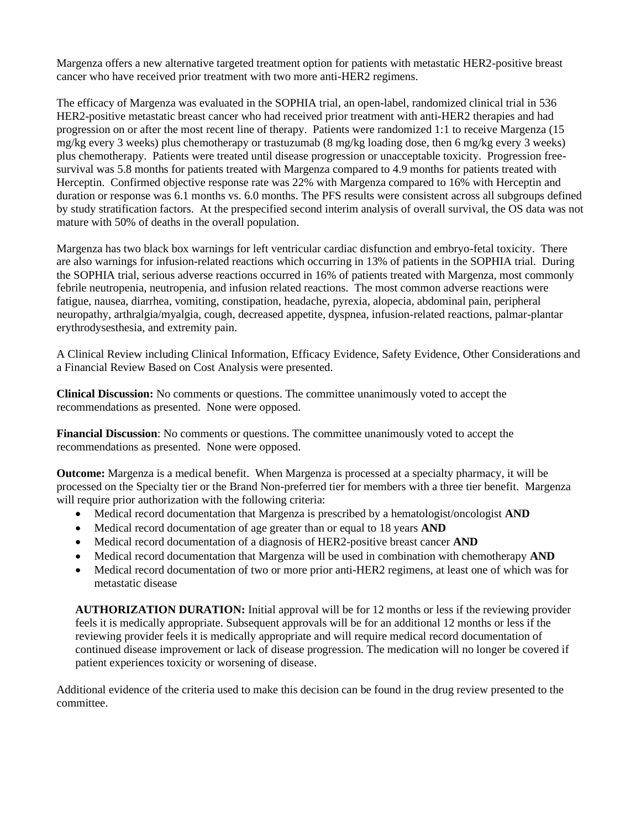Margenza offers a new alternative targeted treatment option for patients with metastatic HER2-positive breast cancer who have received prior treatment with two more anti-HER2 regimens.

The efficacy of Margenza was evaluated in the SOPHIA trial, an open-label, randomized clinical trial in 536 HER2-positive metastatic breast cancer who had received prior treatment with anti-HER2 therapies and had progression on or after the most recent line of therapy. Patients were randomized 1:1 to receive Margenza (15 mg/kg every 3 weeks) plus chemotherapy or trastuzumab (8 mg/kg loading dose, then 6 mg/kg every 3 weeks) plus chemotherapy. Patients were treated until disease progression or unacceptable toxicity. Progression freesurvival was 5.8 months for patients treated with Margenza compared to 4.9 months for patients treated with Herceptin. Confirmed objective response rate was 22% with Margenza compared to 16% with Herceptin and duration or response was 6.1 months vs. 6.0 months. The PFS results were consistent across all subgroups defined by study stratification factors. At the prespecified second interim analysis of overall survival, the OS data was not mature with 50% of deaths in the overall population.

Margenza has two black box warnings for left ventricular cardiac disfunction and embryo-fetal toxicity. There are also warnings for infusion-related reactions which occurring in 13% of patients in the SOPHIA trial. During the SOPHIA trial, serious adverse reactions occurred in 16% of patients treated with Margenza, most commonly febrile neutropenia, neutropenia, and infusion related reactions. The most common adverse reactions were fatigue, nausea, diarrhea, vomiting, constipation, headache, pyrexia, alopecia, abdominal pain, peripheral neuropathy, arthralgia/myalgia, cough, decreased appetite, dyspnea, infusion-related reactions, palmar-plantar erythrodysesthesia, and extremity pain.

A Clinical Review including Clinical Information, Efficacy Evidence, Safety Evidence, Other Considerations and a Financial Review Based on Cost Analysis were presented.

**Clinical Discussion:** No comments or questions. The committee unanimously voted to accept the recommendations as presented. None were opposed.

**Financial Discussion**: No comments or questions. The committee unanimously voted to accept the recommendations as presented. None were opposed.

**Outcome:** Margenza is a medical benefit. When Margenza is processed at a specialty pharmacy, it will be processed on the Specialty tier or the Brand Non-preferred tier for members with a three tier benefit. Margenza will require prior authorization with the following criteria:

- Medical record documentation that Margenza is prescribed by a hematologist/oncologist **AND**
- Medical record documentation of age greater than or equal to 18 years **AND**
- Medical record documentation of a diagnosis of HER2-positive breast cancer **AND**
- Medical record documentation that Margenza will be used in combination with chemotherapy **AND**
- Medical record documentation of two or more prior anti-HER2 regimens, at least one of which was for metastatic disease

**AUTHORIZATION DURATION:** Initial approval will be for 12 months or less if the reviewing provider feels it is medically appropriate. Subsequent approvals will be for an additional 12 months or less if the reviewing provider feels it is medically appropriate and will require medical record documentation of continued disease improvement or lack of disease progression. The medication will no longer be covered if patient experiences toxicity or worsening of disease.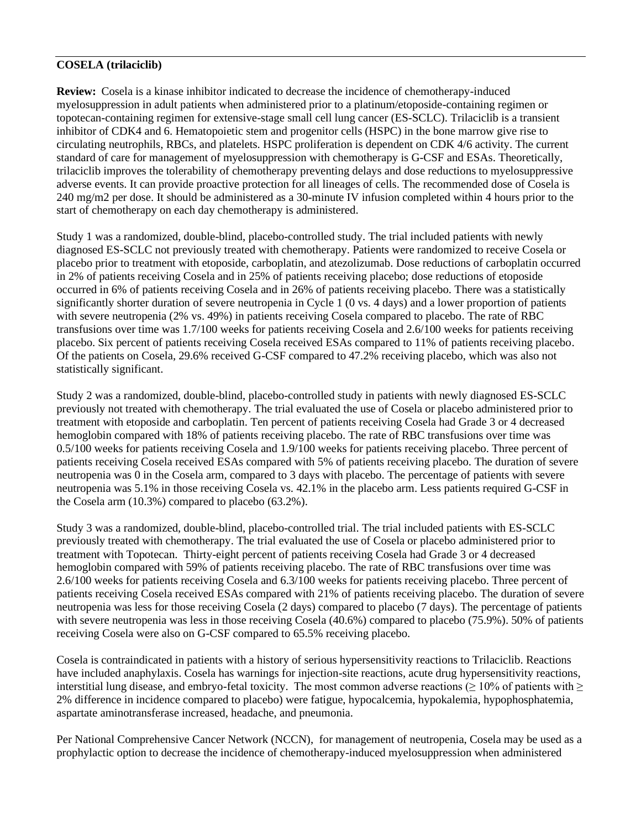# **COSELA (trilaciclib)**

**Review:** Cosela is a kinase inhibitor indicated to decrease the incidence of chemotherapy-induced myelosuppression in adult patients when administered prior to a platinum/etoposide-containing regimen or topotecan-containing regimen for extensive-stage small cell lung cancer (ES-SCLC). Trilaciclib is a transient inhibitor of CDK4 and 6. Hematopoietic stem and progenitor cells (HSPC) in the bone marrow give rise to circulating neutrophils, RBCs, and platelets. HSPC proliferation is dependent on CDK 4/6 activity. The current standard of care for management of myelosuppression with chemotherapy is G-CSF and ESAs. Theoretically, trilaciclib improves the tolerability of chemotherapy preventing delays and dose reductions to myelosuppressive adverse events. It can provide proactive protection for all lineages of cells. The recommended dose of Cosela is 240 mg/m2 per dose. It should be administered as a 30-minute IV infusion completed within 4 hours prior to the start of chemotherapy on each day chemotherapy is administered.

Study 1 was a randomized, double-blind, placebo-controlled study. The trial included patients with newly diagnosed ES-SCLC not previously treated with chemotherapy. Patients were randomized to receive Cosela or placebo prior to treatment with etoposide, carboplatin, and atezolizumab. Dose reductions of carboplatin occurred in 2% of patients receiving Cosela and in 25% of patients receiving placebo; dose reductions of etoposide occurred in 6% of patients receiving Cosela and in 26% of patients receiving placebo. There was a statistically significantly shorter duration of severe neutropenia in Cycle 1 (0 vs. 4 days) and a lower proportion of patients with severe neutropenia (2% vs. 49%) in patients receiving Cosela compared to placebo. The rate of RBC transfusions over time was 1.7/100 weeks for patients receiving Cosela and 2.6/100 weeks for patients receiving placebo. Six percent of patients receiving Cosela received ESAs compared to 11% of patients receiving placebo. Of the patients on Cosela, 29.6% received G-CSF compared to 47.2% receiving placebo, which was also not statistically significant.

Study 2 was a randomized, double-blind, placebo-controlled study in patients with newly diagnosed ES-SCLC previously not treated with chemotherapy. The trial evaluated the use of Cosela or placebo administered prior to treatment with etoposide and carboplatin. Ten percent of patients receiving Cosela had Grade 3 or 4 decreased hemoglobin compared with 18% of patients receiving placebo. The rate of RBC transfusions over time was 0.5/100 weeks for patients receiving Cosela and 1.9/100 weeks for patients receiving placebo. Three percent of patients receiving Cosela received ESAs compared with 5% of patients receiving placebo. The duration of severe neutropenia was 0 in the Cosela arm, compared to 3 days with placebo. The percentage of patients with severe neutropenia was 5.1% in those receiving Cosela vs. 42.1% in the placebo arm. Less patients required G-CSF in the Cosela arm (10.3%) compared to placebo (63.2%).

Study 3 was a randomized, double-blind, placebo-controlled trial. The trial included patients with ES-SCLC previously treated with chemotherapy. The trial evaluated the use of Cosela or placebo administered prior to treatment with Topotecan. Thirty-eight percent of patients receiving Cosela had Grade 3 or 4 decreased hemoglobin compared with 59% of patients receiving placebo. The rate of RBC transfusions over time was 2.6/100 weeks for patients receiving Cosela and 6.3/100 weeks for patients receiving placebo. Three percent of patients receiving Cosela received ESAs compared with 21% of patients receiving placebo. The duration of severe neutropenia was less for those receiving Cosela (2 days) compared to placebo (7 days). The percentage of patients with severe neutropenia was less in those receiving Cosela (40.6%) compared to placebo (75.9%). 50% of patients receiving Cosela were also on G-CSF compared to 65.5% receiving placebo.

Cosela is contraindicated in patients with a history of serious hypersensitivity reactions to Trilaciclib. Reactions have included anaphylaxis. Cosela has warnings for injection-site reactions, acute drug hypersensitivity reactions, interstitial lung disease, and embryo-fetal toxicity. The most common adverse reactions  $(≥ 10%$  of patients with  $≥$ 2% difference in incidence compared to placebo) were fatigue, hypocalcemia, hypokalemia, hypophosphatemia, aspartate aminotransferase increased, headache, and pneumonia.

Per National Comprehensive Cancer Network (NCCN), for management of neutropenia, Cosela may be used as a prophylactic option to decrease the incidence of chemotherapy-induced myelosuppression when administered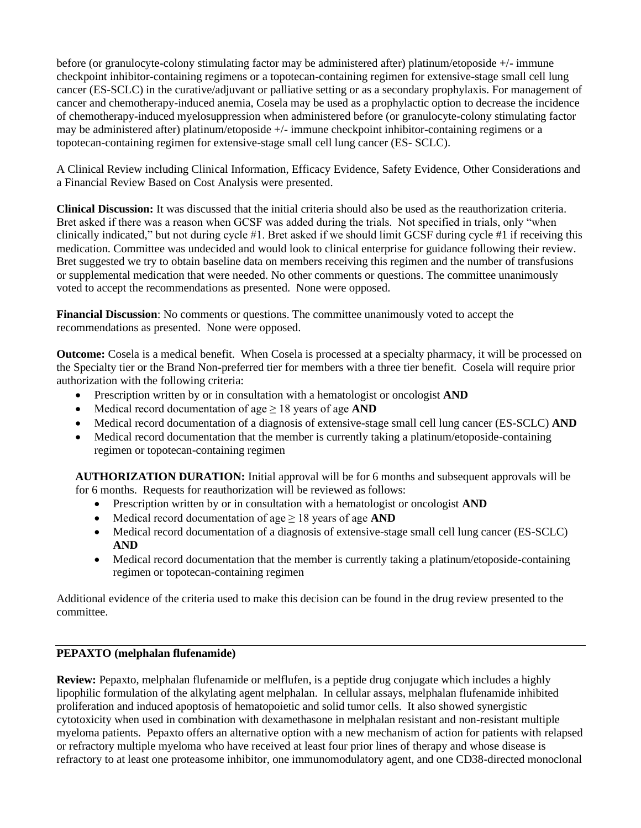before (or granulocyte-colony stimulating factor may be administered after) platinum/etoposide +/- immune checkpoint inhibitor-containing regimens or a topotecan-containing regimen for extensive-stage small cell lung cancer (ES-SCLC) in the curative/adjuvant or palliative setting or as a secondary prophylaxis. For management of cancer and chemotherapy-induced anemia, Cosela may be used as a prophylactic option to decrease the incidence of chemotherapy-induced myelosuppression when administered before (or granulocyte-colony stimulating factor may be administered after) platinum/etoposide +/- immune checkpoint inhibitor-containing regimens or a topotecan-containing regimen for extensive-stage small cell lung cancer (ES- SCLC).

A Clinical Review including Clinical Information, Efficacy Evidence, Safety Evidence, Other Considerations and a Financial Review Based on Cost Analysis were presented.

**Clinical Discussion:** It was discussed that the initial criteria should also be used as the reauthorization criteria. Bret asked if there was a reason when GCSF was added during the trials. Not specified in trials, only "when clinically indicated," but not during cycle #1. Bret asked if we should limit GCSF during cycle #1 if receiving this medication. Committee was undecided and would look to clinical enterprise for guidance following their review. Bret suggested we try to obtain baseline data on members receiving this regimen and the number of transfusions or supplemental medication that were needed. No other comments or questions. The committee unanimously voted to accept the recommendations as presented. None were opposed.

**Financial Discussion**: No comments or questions. The committee unanimously voted to accept the recommendations as presented. None were opposed.

**Outcome:** Cosela is a medical benefit. When Cosela is processed at a specialty pharmacy, it will be processed on the Specialty tier or the Brand Non-preferred tier for members with a three tier benefit. Cosela will require prior authorization with the following criteria:

- Prescription written by or in consultation with a hematologist or oncologist **AND**
- Medical record documentation of age ≥ 18 years of age **AND**
- Medical record documentation of a diagnosis of extensive-stage small cell lung cancer (ES-SCLC) **AND**
- Medical record documentation that the member is currently taking a platinum/etoposide-containing regimen or topotecan-containing regimen

**AUTHORIZATION DURATION:** Initial approval will be for 6 months and subsequent approvals will be for 6 months. Requests for reauthorization will be reviewed as follows:

- Prescription written by or in consultation with a hematologist or oncologist **AND**
- Medical record documentation of age ≥ 18 years of age **AND**
- Medical record documentation of a diagnosis of extensive-stage small cell lung cancer (ES-SCLC) **AND**
- Medical record documentation that the member is currently taking a platinum/etoposide-containing regimen or topotecan-containing regimen

Additional evidence of the criteria used to make this decision can be found in the drug review presented to the committee.

# **PEPAXTO (melphalan flufenamide)**

**Review:** Pepaxto, melphalan flufenamide or melflufen, is a peptide drug conjugate which includes a highly lipophilic formulation of the alkylating agent melphalan. In cellular assays, melphalan flufenamide inhibited proliferation and induced apoptosis of hematopoietic and solid tumor cells. It also showed synergistic cytotoxicity when used in combination with dexamethasone in melphalan resistant and non-resistant multiple myeloma patients. Pepaxto offers an alternative option with a new mechanism of action for patients with relapsed or refractory multiple myeloma who have received at least four prior lines of therapy and whose disease is refractory to at least one proteasome inhibitor, one immunomodulatory agent, and one CD38-directed monoclonal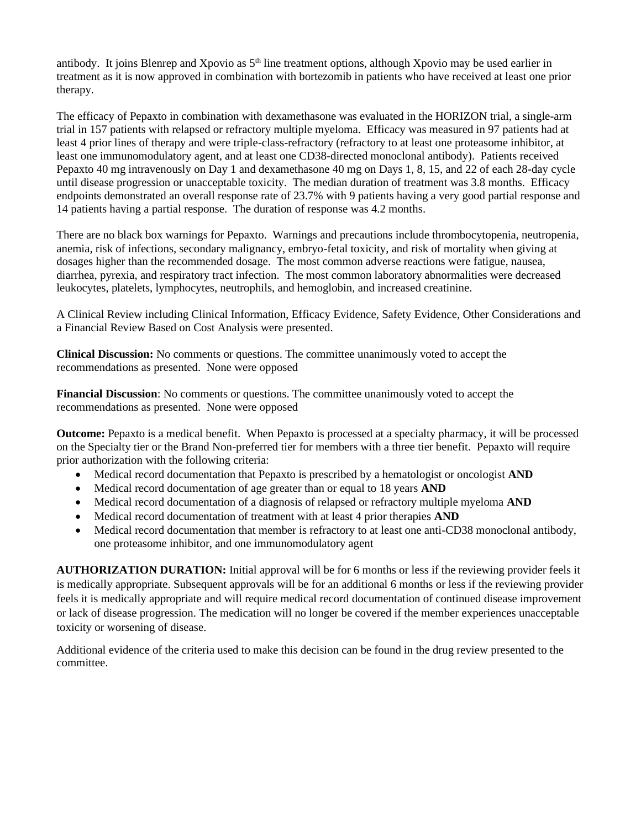antibody. It joins Blenrep and Xpovio as  $5<sup>th</sup>$  line treatment options, although Xpovio may be used earlier in treatment as it is now approved in combination with bortezomib in patients who have received at least one prior therapy.

The efficacy of Pepaxto in combination with dexamethasone was evaluated in the HORIZON trial, a single-arm trial in 157 patients with relapsed or refractory multiple myeloma. Efficacy was measured in 97 patients had at least 4 prior lines of therapy and were triple-class-refractory (refractory to at least one proteasome inhibitor, at least one immunomodulatory agent, and at least one CD38-directed monoclonal antibody). Patients received Pepaxto 40 mg intravenously on Day 1 and dexamethasone 40 mg on Days 1, 8, 15, and 22 of each 28-day cycle until disease progression or unacceptable toxicity. The median duration of treatment was 3.8 months. Efficacy endpoints demonstrated an overall response rate of 23.7% with 9 patients having a very good partial response and 14 patients having a partial response. The duration of response was 4.2 months.

There are no black box warnings for Pepaxto. Warnings and precautions include thrombocytopenia, neutropenia, anemia, risk of infections, secondary malignancy, embryo-fetal toxicity, and risk of mortality when giving at dosages higher than the recommended dosage. The most common adverse reactions were fatigue, nausea, diarrhea, pyrexia, and respiratory tract infection. The most common laboratory abnormalities were decreased leukocytes, platelets, lymphocytes, neutrophils, and hemoglobin, and increased creatinine.

A Clinical Review including Clinical Information, Efficacy Evidence, Safety Evidence, Other Considerations and a Financial Review Based on Cost Analysis were presented.

**Clinical Discussion:** No comments or questions. The committee unanimously voted to accept the recommendations as presented. None were opposed

**Financial Discussion**: No comments or questions. The committee unanimously voted to accept the recommendations as presented. None were opposed

**Outcome:** Pepaxto is a medical benefit. When Pepaxto is processed at a specialty pharmacy, it will be processed on the Specialty tier or the Brand Non-preferred tier for members with a three tier benefit. Pepaxto will require prior authorization with the following criteria:

- Medical record documentation that Pepaxto is prescribed by a hematologist or oncologist **AND**
- Medical record documentation of age greater than or equal to 18 years **AND**
- Medical record documentation of a diagnosis of relapsed or refractory multiple myeloma **AND**
- Medical record documentation of treatment with at least 4 prior therapies **AND**
- Medical record documentation that member is refractory to at least one anti-CD38 monoclonal antibody, one proteasome inhibitor, and one immunomodulatory agent

**AUTHORIZATION DURATION:** Initial approval will be for 6 months or less if the reviewing provider feels it is medically appropriate. Subsequent approvals will be for an additional 6 months or less if the reviewing provider feels it is medically appropriate and will require medical record documentation of continued disease improvement or lack of disease progression. The medication will no longer be covered if the member experiences unacceptable toxicity or worsening of disease.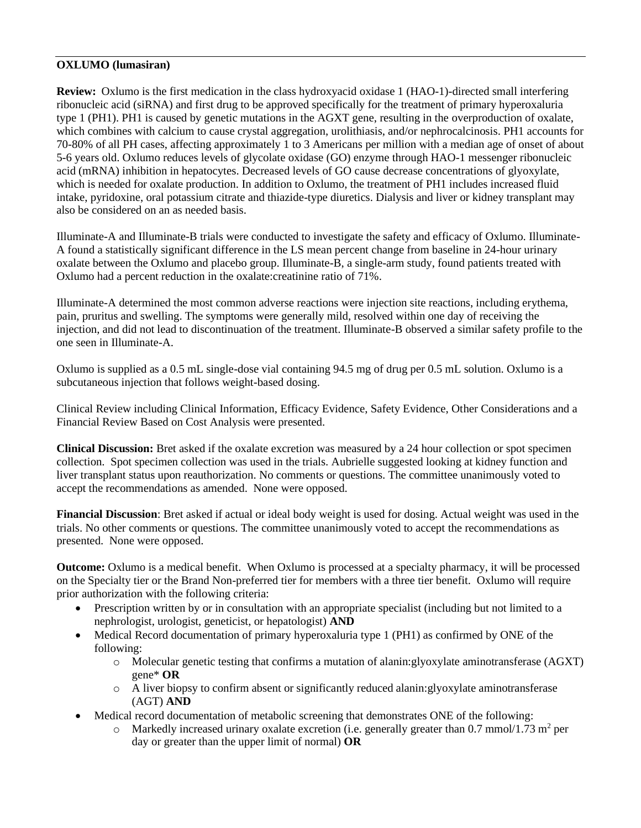# **OXLUMO (lumasiran)**

**Review:** Oxlumo is the first medication in the class hydroxyacid oxidase 1 (HAO-1)-directed small interfering ribonucleic acid (siRNA) and first drug to be approved specifically for the treatment of primary hyperoxaluria type 1 (PH1). PH1 is caused by genetic mutations in the AGXT gene, resulting in the overproduction of oxalate, which combines with calcium to cause crystal aggregation, urolithiasis, and/or nephrocalcinosis. PH1 accounts for 70-80% of all PH cases, affecting approximately 1 to 3 Americans per million with a median age of onset of about 5-6 years old. Oxlumo reduces levels of glycolate oxidase (GO) enzyme through HAO-1 messenger ribonucleic acid (mRNA) inhibition in hepatocytes. Decreased levels of GO cause decrease concentrations of glyoxylate, which is needed for oxalate production. In addition to Oxlumo, the treatment of PH1 includes increased fluid intake, pyridoxine, oral potassium citrate and thiazide-type diuretics. Dialysis and liver or kidney transplant may also be considered on an as needed basis.

Illuminate-A and Illuminate-B trials were conducted to investigate the safety and efficacy of Oxlumo. Illuminate-A found a statistically significant difference in the LS mean percent change from baseline in 24-hour urinary oxalate between the Oxlumo and placebo group. Illuminate-B, a single-arm study, found patients treated with Oxlumo had a percent reduction in the oxalate:creatinine ratio of 71%.

Illuminate-A determined the most common adverse reactions were injection site reactions, including erythema, pain, pruritus and swelling. The symptoms were generally mild, resolved within one day of receiving the injection, and did not lead to discontinuation of the treatment. Illuminate-B observed a similar safety profile to the one seen in Illuminate-A.

Oxlumo is supplied as a 0.5 mL single-dose vial containing 94.5 mg of drug per 0.5 mL solution. Oxlumo is a subcutaneous injection that follows weight-based dosing.

Clinical Review including Clinical Information, Efficacy Evidence, Safety Evidence, Other Considerations and a Financial Review Based on Cost Analysis were presented.

**Clinical Discussion:** Bret asked if the oxalate excretion was measured by a 24 hour collection or spot specimen collection. Spot specimen collection was used in the trials. Aubrielle suggested looking at kidney function and liver transplant status upon reauthorization. No comments or questions. The committee unanimously voted to accept the recommendations as amended. None were opposed.

**Financial Discussion**: Bret asked if actual or ideal body weight is used for dosing. Actual weight was used in the trials. No other comments or questions. The committee unanimously voted to accept the recommendations as presented. None were opposed.

**Outcome:** Oxlumo is a medical benefit. When Oxlumo is processed at a specialty pharmacy, it will be processed on the Specialty tier or the Brand Non-preferred tier for members with a three tier benefit. Oxlumo will require prior authorization with the following criteria:

- Prescription written by or in consultation with an appropriate specialist (including but not limited to a nephrologist, urologist, geneticist, or hepatologist) **AND**
- Medical Record documentation of primary hyperoxaluria type 1 (PH1) as confirmed by ONE of the following:
	- o Molecular genetic testing that confirms a mutation of alanin:glyoxylate aminotransferase (AGXT) gene\* **OR**
	- o A liver biopsy to confirm absent or significantly reduced alanin:glyoxylate aminotransferase (AGT) **AND**
- Medical record documentation of metabolic screening that demonstrates ONE of the following:
	- $\circ$  Markedly increased urinary oxalate excretion (i.e. generally greater than 0.7 mmol/1.73 m<sup>2</sup> per day or greater than the upper limit of normal) **OR**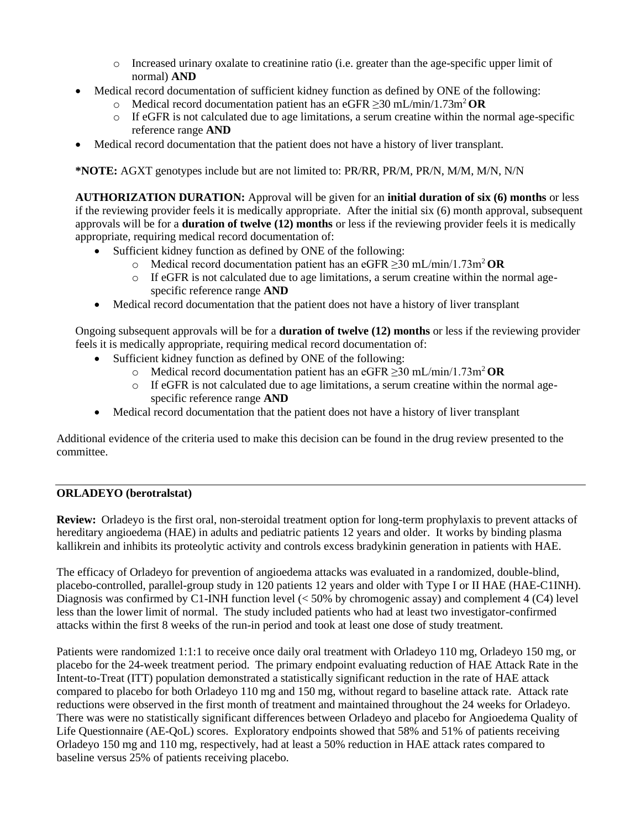- o Increased urinary oxalate to creatinine ratio (i.e. greater than the age-specific upper limit of normal) **AND**
- Medical record documentation of sufficient kidney function as defined by ONE of the following:
	- o Medical record documentation patient has an eGFR ≥30 mL/min/1.73m<sup>2</sup>**OR**
	- $\circ$  If eGFR is not calculated due to age limitations, a serum creatine within the normal age-specific reference range **AND**
- Medical record documentation that the patient does not have a history of liver transplant.

**\*NOTE:** AGXT genotypes include but are not limited to: PR/RR, PR/M, PR/N, M/M, M/N, N/N

**AUTHORIZATION DURATION:** Approval will be given for an **initial duration of six (6) months** or less if the reviewing provider feels it is medically appropriate. After the initial six (6) month approval, subsequent approvals will be for a **duration of twelve (12) months** or less if the reviewing provider feels it is medically appropriate, requiring medical record documentation of:

- Sufficient kidney function as defined by ONE of the following:
	- o Medical record documentation patient has an eGFR ≥30 mL/min/1.73m<sup>2</sup>**OR**
	- $\circ$  If eGFR is not calculated due to age limitations, a serum creatine within the normal agespecific reference range **AND**
- Medical record documentation that the patient does not have a history of liver transplant

Ongoing subsequent approvals will be for a **duration of twelve (12) months** or less if the reviewing provider feels it is medically appropriate, requiring medical record documentation of:

- Sufficient kidney function as defined by ONE of the following:
	- o Medical record documentation patient has an eGFR ≥30 mL/min/1.73m<sup>2</sup>**OR**
	- o If eGFR is not calculated due to age limitations, a serum creatine within the normal agespecific reference range **AND**
- Medical record documentation that the patient does not have a history of liver transplant

Additional evidence of the criteria used to make this decision can be found in the drug review presented to the committee.

# **ORLADEYO (berotralstat)**

**Review:** Orladeyo is the first oral, non-steroidal treatment option for long-term prophylaxis to prevent attacks of hereditary angioedema (HAE) in adults and pediatric patients 12 years and older. It works by binding plasma kallikrein and inhibits its proteolytic activity and controls excess bradykinin generation in patients with HAE.

The efficacy of Orladeyo for prevention of angioedema attacks was evaluated in a randomized, double-blind, placebo-controlled, parallel-group study in 120 patients 12 years and older with Type I or II HAE (HAE-C1INH). Diagnosis was confirmed by C1-INH function level  $(< 50\%$  by chromogenic assay) and complement 4 (C4) level less than the lower limit of normal. The study included patients who had at least two investigator-confirmed attacks within the first 8 weeks of the run-in period and took at least one dose of study treatment.

Patients were randomized 1:1:1 to receive once daily oral treatment with Orladeyo 110 mg, Orladeyo 150 mg, or placebo for the 24-week treatment period. The primary endpoint evaluating reduction of HAE Attack Rate in the Intent-to-Treat (ITT) population demonstrated a statistically significant reduction in the rate of HAE attack compared to placebo for both Orladeyo 110 mg and 150 mg, without regard to baseline attack rate. Attack rate reductions were observed in the first month of treatment and maintained throughout the 24 weeks for Orladeyo. There was were no statistically significant differences between Orladeyo and placebo for Angioedema Quality of Life Questionnaire (AE-QoL) scores. Exploratory endpoints showed that 58% and 51% of patients receiving Orladeyo 150 mg and 110 mg, respectively, had at least a 50% reduction in HAE attack rates compared to baseline versus 25% of patients receiving placebo.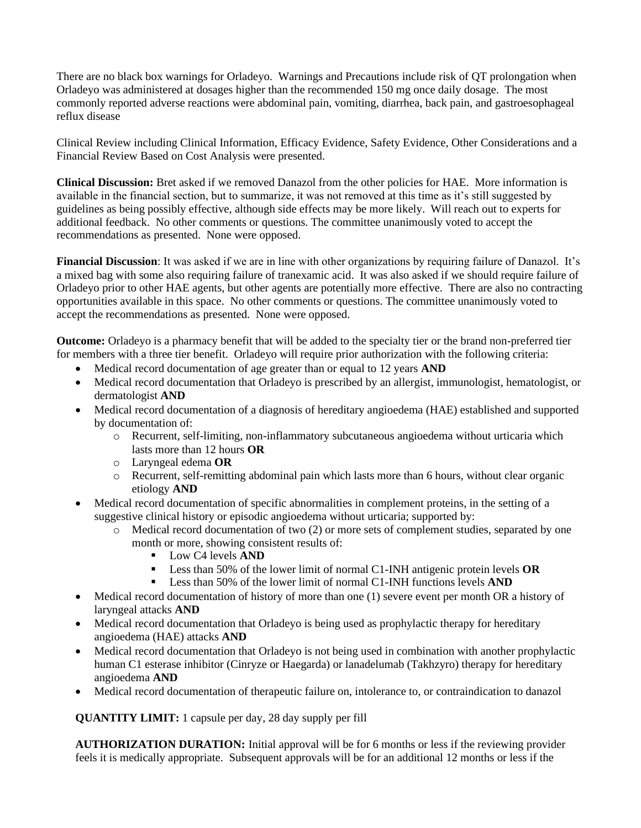There are no black box warnings for Orladeyo. Warnings and Precautions include risk of QT prolongation when Orladeyo was administered at dosages higher than the recommended 150 mg once daily dosage. The most commonly reported adverse reactions were abdominal pain, vomiting, diarrhea, back pain, and gastroesophageal reflux disease

Clinical Review including Clinical Information, Efficacy Evidence, Safety Evidence, Other Considerations and a Financial Review Based on Cost Analysis were presented.

**Clinical Discussion:** Bret asked if we removed Danazol from the other policies for HAE. More information is available in the financial section, but to summarize, it was not removed at this time as it's still suggested by guidelines as being possibly effective, although side effects may be more likely. Will reach out to experts for additional feedback. No other comments or questions. The committee unanimously voted to accept the recommendations as presented. None were opposed.

**Financial Discussion**: It was asked if we are in line with other organizations by requiring failure of Danazol. It's a mixed bag with some also requiring failure of tranexamic acid. It was also asked if we should require failure of Orladeyo prior to other HAE agents, but other agents are potentially more effective. There are also no contracting opportunities available in this space. No other comments or questions. The committee unanimously voted to accept the recommendations as presented. None were opposed.

**Outcome:** Orladeyo is a pharmacy benefit that will be added to the specialty tier or the brand non-preferred tier for members with a three tier benefit. Orladeyo will require prior authorization with the following criteria:

- Medical record documentation of age greater than or equal to 12 years **AND**
- Medical record documentation that Orladeyo is prescribed by an allergist, immunologist, hematologist, or dermatologist **AND**
- Medical record documentation of a diagnosis of hereditary angioedema (HAE) established and supported by documentation of:
	- o Recurrent, self-limiting, non-inflammatory subcutaneous angioedema without urticaria which lasts more than 12 hours **OR**
	- o Laryngeal edema **OR**
	- o Recurrent, self-remitting abdominal pain which lasts more than 6 hours, without clear organic etiology **AND**
- Medical record documentation of specific abnormalities in complement proteins, in the setting of a suggestive clinical history or episodic angioedema without urticaria; supported by:
	- o Medical record documentation of two (2) or more sets of complement studies, separated by one month or more, showing consistent results of:
		- Low C4 levels **AND**
		- Less than 50% of the lower limit of normal C1-INH antigenic protein levels **OR**
		- Less than 50% of the lower limit of normal C1-INH functions levels **AND**
- Medical record documentation of history of more than one (1) severe event per month OR a history of laryngeal attacks **AND**
- Medical record documentation that Orladeyo is being used as prophylactic therapy for hereditary angioedema (HAE) attacks **AND**
- Medical record documentation that Orladeyo is not being used in combination with another prophylactic human C1 esterase inhibitor (Cinryze or Haegarda) or lanadelumab (Takhzyro) therapy for hereditary angioedema **AND**
- Medical record documentation of therapeutic failure on, intolerance to, or contraindication to danazol

**QUANTITY LIMIT:** 1 capsule per day, 28 day supply per fill

**AUTHORIZATION DURATION:** Initial approval will be for 6 months or less if the reviewing provider feels it is medically appropriate. Subsequent approvals will be for an additional 12 months or less if the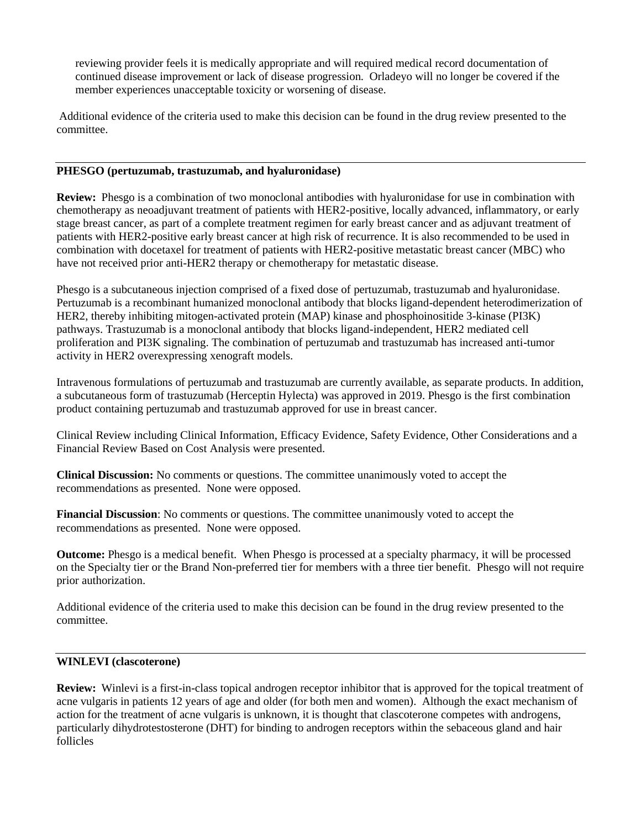reviewing provider feels it is medically appropriate and will required medical record documentation of continued disease improvement or lack of disease progression. Orladeyo will no longer be covered if the member experiences unacceptable toxicity or worsening of disease.

Additional evidence of the criteria used to make this decision can be found in the drug review presented to the committee.

#### **PHESGO (pertuzumab, trastuzumab, and hyaluronidase)**

**Review:** Phesgo is a combination of two monoclonal antibodies with hyaluronidase for use in combination with chemotherapy as neoadjuvant treatment of patients with HER2-positive, locally advanced, inflammatory, or early stage breast cancer, as part of a complete treatment regimen for early breast cancer and as adjuvant treatment of patients with HER2-positive early breast cancer at high risk of recurrence. It is also recommended to be used in combination with docetaxel for treatment of patients with HER2-positive metastatic breast cancer (MBC) who have not received prior anti-HER2 therapy or chemotherapy for metastatic disease.

Phesgo is a subcutaneous injection comprised of a fixed dose of pertuzumab, trastuzumab and hyaluronidase. Pertuzumab is a recombinant humanized monoclonal antibody that blocks ligand-dependent heterodimerization of HER2, thereby inhibiting mitogen-activated protein (MAP) kinase and phosphoinositide 3-kinase (PI3K) pathways. Trastuzumab is a monoclonal antibody that blocks ligand-independent, HER2 mediated cell proliferation and PI3K signaling. The combination of pertuzumab and trastuzumab has increased anti-tumor activity in HER2 overexpressing xenograft models.

Intravenous formulations of pertuzumab and trastuzumab are currently available, as separate products. In addition, a subcutaneous form of trastuzumab (Herceptin Hylecta) was approved in 2019. Phesgo is the first combination product containing pertuzumab and trastuzumab approved for use in breast cancer.

Clinical Review including Clinical Information, Efficacy Evidence, Safety Evidence, Other Considerations and a Financial Review Based on Cost Analysis were presented.

**Clinical Discussion:** No comments or questions. The committee unanimously voted to accept the recommendations as presented. None were opposed.

**Financial Discussion**: No comments or questions. The committee unanimously voted to accept the recommendations as presented. None were opposed.

**Outcome:** Phesgo is a medical benefit. When Phesgo is processed at a specialty pharmacy, it will be processed on the Specialty tier or the Brand Non-preferred tier for members with a three tier benefit. Phesgo will not require prior authorization.

Additional evidence of the criteria used to make this decision can be found in the drug review presented to the committee.

# **WINLEVI (clascoterone)**

**Review:** Winlevi is a first-in-class topical androgen receptor inhibitor that is approved for the topical treatment of acne vulgaris in patients 12 years of age and older (for both men and women). Although the exact mechanism of action for the treatment of acne vulgaris is unknown, it is thought that clascoterone competes with androgens, particularly dihydrotestosterone (DHT) for binding to androgen receptors within the sebaceous gland and hair follicles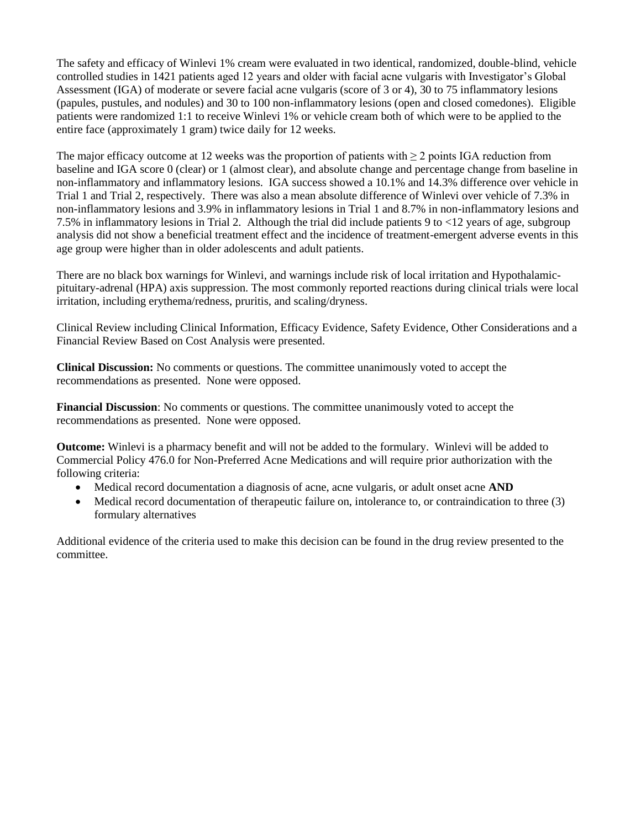The safety and efficacy of Winlevi 1% cream were evaluated in two identical, randomized, double-blind, vehicle controlled studies in 1421 patients aged 12 years and older with facial acne vulgaris with Investigator's Global Assessment (IGA) of moderate or severe facial acne vulgaris (score of 3 or 4), 30 to 75 inflammatory lesions (papules, pustules, and nodules) and 30 to 100 non-inflammatory lesions (open and closed comedones). Eligible patients were randomized 1:1 to receive Winlevi 1% or vehicle cream both of which were to be applied to the entire face (approximately 1 gram) twice daily for 12 weeks.

The major efficacy outcome at 12 weeks was the proportion of patients with  $\geq 2$  points IGA reduction from baseline and IGA score 0 (clear) or 1 (almost clear), and absolute change and percentage change from baseline in non-inflammatory and inflammatory lesions. IGA success showed a 10.1% and 14.3% difference over vehicle in Trial 1 and Trial 2, respectively. There was also a mean absolute difference of Winlevi over vehicle of 7.3% in non-inflammatory lesions and 3.9% in inflammatory lesions in Trial 1 and 8.7% in non-inflammatory lesions and 7.5% in inflammatory lesions in Trial 2. Although the trial did include patients 9 to <12 years of age, subgroup analysis did not show a beneficial treatment effect and the incidence of treatment-emergent adverse events in this age group were higher than in older adolescents and adult patients.

There are no black box warnings for Winlevi, and warnings include risk of local irritation and Hypothalamicpituitary-adrenal (HPA) axis suppression. The most commonly reported reactions during clinical trials were local irritation, including erythema/redness, pruritis, and scaling/dryness.

Clinical Review including Clinical Information, Efficacy Evidence, Safety Evidence, Other Considerations and a Financial Review Based on Cost Analysis were presented.

**Clinical Discussion:** No comments or questions. The committee unanimously voted to accept the recommendations as presented. None were opposed.

**Financial Discussion**: No comments or questions. The committee unanimously voted to accept the recommendations as presented. None were opposed.

**Outcome:** Winlevi is a pharmacy benefit and will not be added to the formulary. Winlevi will be added to Commercial Policy 476.0 for Non-Preferred Acne Medications and will require prior authorization with the following criteria:

- Medical record documentation a diagnosis of acne, acne vulgaris, or adult onset acne **AND**
- Medical record documentation of therapeutic failure on, intolerance to, or contraindication to three (3) formulary alternatives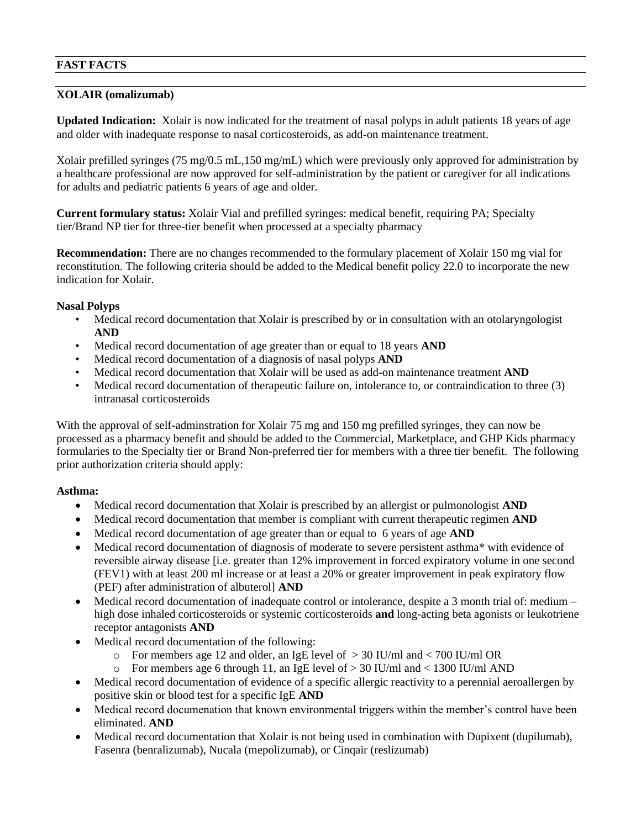# **FAST FACTS**

# **XOLAIR (omalizumab)**

**Updated Indication:** Xolair is now indicated for the treatment of nasal polyps in adult patients 18 years of age and older with inadequate response to nasal corticosteroids, as add-on maintenance treatment.

Xolair prefilled syringes (75 mg/0.5 mL,150 mg/mL) which were previously only approved for administration by a healthcare professional are now approved for self-administration by the patient or caregiver for all indications for adults and pediatric patients 6 years of age and older.

**Current formulary status:** Xolair Vial and prefilled syringes: medical benefit, requiring PA; Specialty tier/Brand NP tier for three-tier benefit when processed at a specialty pharmacy

**Recommendation:** There are no changes recommended to the formulary placement of Xolair 150 mg vial for reconstitution. The following criteria should be added to the Medical benefit policy 22.0 to incorporate the new indication for Xolair.

# **Nasal Polyps**

- Medical record documentation that Xolair is prescribed by or in consultation with an otolaryngologist **AND**
- Medical record documentation of age greater than or equal to 18 years **AND**
- Medical record documentation of a diagnosis of nasal polyps **AND**
- Medical record documentation that Xolair will be used as add-on maintenance treatment **AND**
- Medical record documentation of therapeutic failure on, intolerance to, or contraindication to three (3) intranasal corticosteroids

With the approval of self-adminstration for Xolair 75 mg and 150 mg prefilled syringes, they can now be processed as a pharmacy benefit and should be added to the Commercial, Marketplace, and GHP Kids pharmacy formularies to the Specialty tier or Brand Non-preferred tier for members with a three tier benefit. The following prior authorization criteria should apply:

# **Asthma:**

- Medical record documentation that Xolair is prescribed by an allergist or pulmonologist **AND**
- Medical record documentation that member is compliant with current therapeutic regimen **AND**
- Medical record documentation of age greater than or equal to 6 years of age **AND**
- Medical record documentation of diagnosis of moderate to severe persistent asthma\* with evidence of reversible airway disease [i.e. greater than 12% improvement in forced expiratory volume in one second (FEV1) with at least 200 ml increase or at least a 20% or greater improvement in peak expiratory flow (PEF) after administration of albuterol] **AND**
- Medical record documentation of inadequate control or intolerance, despite a 3 month trial of: medium high dose inhaled corticosteroids or systemic corticosteroids **and** long-acting beta agonists or leukotriene receptor antagonists **AND**
- Medical record documentation of the following:
	- o For members age 12 and older, an IgE level of > 30 IU/ml and < 700 IU/ml OR
	- $\circ$  For members age 6 through 11, an IgE level of  $> 30$  IU/ml and  $< 1300$  IU/ml AND
- Medical record documentation of evidence of a specific allergic reactivity to a perennial aeroallergen by positive skin or blood test for a specific IgE **AND**
- Medical record documenation that known environmental triggers within the member's control have been eliminated. **AND**
- Medical record documentation that Xolair is not being used in combination with Dupixent (dupilumab), Fasenra (benralizumab), Nucala (mepolizumab), or Cinqair (reslizumab)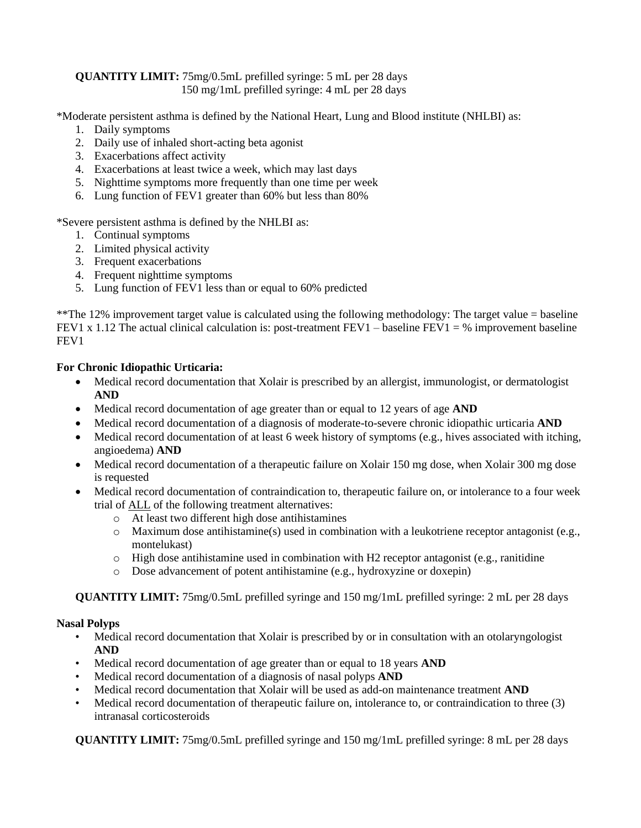# **QUANTITY LIMIT:** 75mg/0.5mL prefilled syringe: 5 mL per 28 days 150 mg/1mL prefilled syringe: 4 mL per 28 days

\*Moderate persistent asthma is defined by the National Heart, Lung and Blood institute (NHLBI) as:

- 1. Daily symptoms
- 2. Daily use of inhaled short-acting beta agonist
- 3. Exacerbations affect activity
- 4. Exacerbations at least twice a week, which may last days
- 5. Nighttime symptoms more frequently than one time per week
- 6. Lung function of FEV1 greater than 60% but less than 80%

\*Severe persistent asthma is defined by the NHLBI as:

- 1. Continual symptoms
- 2. Limited physical activity
- 3. Frequent exacerbations
- 4. Frequent nighttime symptoms
- 5. Lung function of FEV1 less than or equal to 60% predicted

\*\*The 12% improvement target value is calculated using the following methodology: The target value = baseline FEV1 x 1.12 The actual clinical calculation is: post-treatment FEV1 – baseline FEV1 = % improvement baseline FEV1

# **For Chronic Idiopathic Urticaria:**

- Medical record documentation that Xolair is prescribed by an allergist, immunologist, or dermatologist **AND**
- Medical record documentation of age greater than or equal to 12 years of age **AND**
- Medical record documentation of a diagnosis of moderate-to-severe chronic idiopathic urticaria **AND**
- Medical record documentation of at least 6 week history of symptoms (e.g., hives associated with itching, angioedema) **AND**
- Medical record documentation of a therapeutic failure on Xolair 150 mg dose, when Xolair 300 mg dose is requested
- Medical record documentation of contraindication to, therapeutic failure on, or intolerance to a four week trial of ALL of the following treatment alternatives:
	- o At least two different high dose antihistamines
	- $\circ$  Maximum dose antihistamine(s) used in combination with a leukotriene receptor antagonist (e.g., montelukast)
	- o High dose antihistamine used in combination with H2 receptor antagonist (e.g., ranitidine
	- o Dose advancement of potent antihistamine (e.g., hydroxyzine or doxepin)

**QUANTITY LIMIT:** 75mg/0.5mL prefilled syringe and 150 mg/1mL prefilled syringe: 2 mL per 28 days

# **Nasal Polyps**

- Medical record documentation that Xolair is prescribed by or in consultation with an otolaryngologist **AND**
- Medical record documentation of age greater than or equal to 18 years **AND**
- Medical record documentation of a diagnosis of nasal polyps **AND**
- Medical record documentation that Xolair will be used as add-on maintenance treatment **AND**
- Medical record documentation of therapeutic failure on, intolerance to, or contraindication to three (3) intranasal corticosteroids

**QUANTITY LIMIT:** 75mg/0.5mL prefilled syringe and 150 mg/1mL prefilled syringe: 8 mL per 28 days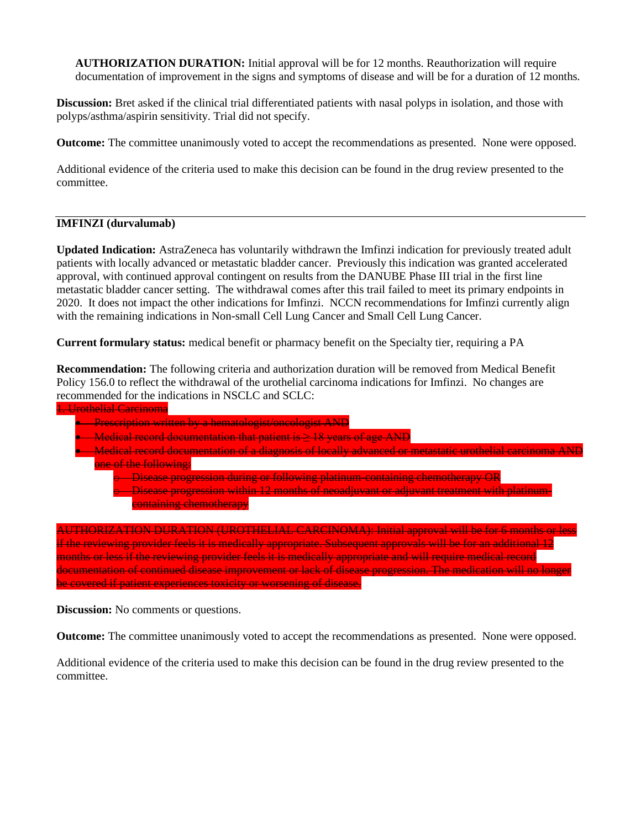**AUTHORIZATION DURATION:** Initial approval will be for 12 months. Reauthorization will require documentation of improvement in the signs and symptoms of disease and will be for a duration of 12 months.

**Discussion:** Bret asked if the clinical trial differentiated patients with nasal polyps in isolation, and those with polyps/asthma/aspirin sensitivity. Trial did not specify.

**Outcome:** The committee unanimously voted to accept the recommendations as presented. None were opposed.

Additional evidence of the criteria used to make this decision can be found in the drug review presented to the committee.

# **IMFINZI (durvalumab)**

**Updated Indication:** AstraZeneca has voluntarily withdrawn the Imfinzi indication for previously treated adult patients with locally advanced or metastatic bladder cancer. Previously this indication was granted accelerated approval, with continued approval contingent on results from the DANUBE Phase III trial in the first line metastatic bladder cancer setting. The withdrawal comes after this trail failed to meet its primary endpoints in 2020. It does not impact the other indications for Imfinzi. NCCN recommendations for Imfinzi currently align with the remaining indications in Non-small Cell Lung Cancer and Small Cell Lung Cancer.

**Current formulary status:** medical benefit or pharmacy benefit on the Specialty tier, requiring a PA

**Recommendation:** The following criteria and authorization duration will be removed from Medical Benefit Policy 156.0 to reflect the withdrawal of the urothelial carcinoma indications for Imfinzi. No changes are recommended for the indications in NSCLC and SCLC:

| <del>. Urothelial Carcinoma</del>                                                                              |
|----------------------------------------------------------------------------------------------------------------|
| Prescription written by a hematologist/oncologist AND                                                          |
| Medical record documentation that patient is $\geq$ 18 years of age AND                                        |
| <u>Medical record documentation of a diagnosis of locally advanced or metastatic urothelial carcinoma-</u>     |
| one of the following:                                                                                          |
| Disease progression during or following platinum-containing chemotherapy OR                                    |
| Disease progression within 12 months of neoadjuvant or adjuvant treatment with platinum                        |
| containing chemotherapy                                                                                        |
|                                                                                                                |
| <b>CARCINOMA</b> ): Initial approval will be for 6 months or less<br><del>ION (UKOTHELIAL</del>                |
| if the reviewing provider feels it is medically appropriate. Subsequent approvals will be for an additional 12 |
| months or less if the reviewing provider feels it is medically appropriate and will require medical record     |
| documentation of continued disease improvement or lack of disease progression. The medication will no          |

be covered if patient experiences toxicity or worsening of disease.

**Discussion:** No comments or questions.

**Outcome:** The committee unanimously voted to accept the recommendations as presented. None were opposed.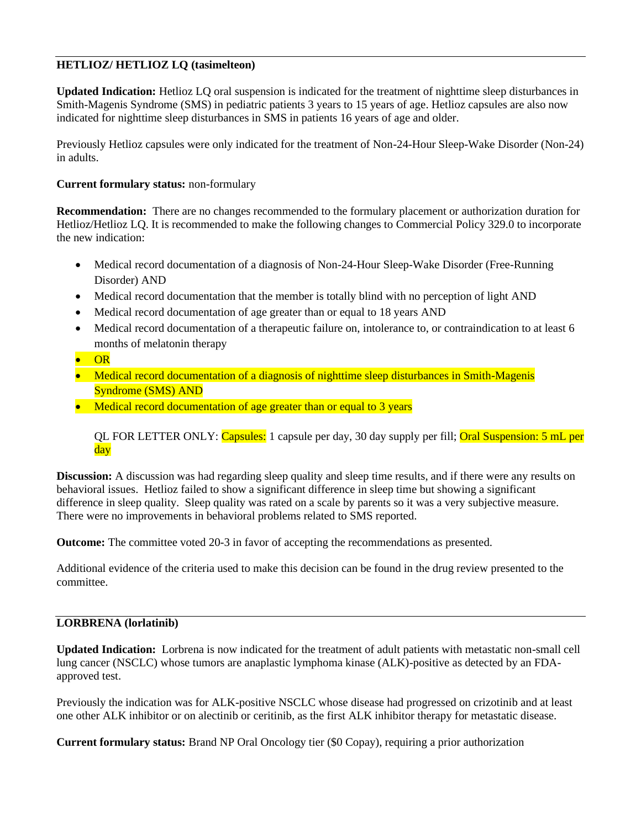# **HETLIOZ/ HETLIOZ LQ (tasimelteon)**

**Updated Indication:** Hetlioz LQ oral suspension is indicated for the treatment of nighttime sleep disturbances in Smith-Magenis Syndrome (SMS) in pediatric patients 3 years to 15 years of age. Hetlioz capsules are also now indicated for nighttime sleep disturbances in SMS in patients 16 years of age and older.

Previously Hetlioz capsules were only indicated for the treatment of Non-24-Hour Sleep-Wake Disorder (Non-24) in adults.

# **Current formulary status:** non-formulary

**Recommendation:** There are no changes recommended to the formulary placement or authorization duration for Hetlioz/Hetlioz LQ. It is recommended to make the following changes to Commercial Policy 329.0 to incorporate the new indication:

- Medical record documentation of a diagnosis of Non-24-Hour Sleep-Wake Disorder (Free-Running Disorder) AND
- Medical record documentation that the member is totally blind with no perception of light AND
- Medical record documentation of age greater than or equal to 18 years AND
- Medical record documentation of a therapeutic failure on, intolerance to, or contraindication to at least 6 months of melatonin therapy
- OR
- Medical record documentation of a diagnosis of nighttime sleep disturbances in Smith-Magenis Syndrome (SMS) AND
- Medical record documentation of age greater than or equal to 3 years

QL FOR LETTER ONLY: Capsules: 1 capsule per day, 30 day supply per fill; Oral Suspension: 5 mL per day

**Discussion:** A discussion was had regarding sleep quality and sleep time results, and if there were any results on behavioral issues. Hetlioz failed to show a significant difference in sleep time but showing a significant difference in sleep quality. Sleep quality was rated on a scale by parents so it was a very subjective measure. There were no improvements in behavioral problems related to SMS reported.

**Outcome:** The committee voted 20-3 in favor of accepting the recommendations as presented.

Additional evidence of the criteria used to make this decision can be found in the drug review presented to the committee.

# **LORBRENA (lorlatinib)**

**Updated Indication:** Lorbrena is now indicated for the treatment of adult patients with metastatic non-small cell lung cancer (NSCLC) whose tumors are anaplastic lymphoma kinase (ALK)-positive as detected by an FDAapproved test.

Previously the indication was for ALK-positive NSCLC whose disease had progressed on crizotinib and at least one other ALK inhibitor or on alectinib or ceritinib, as the first ALK inhibitor therapy for metastatic disease.

**Current formulary status:** Brand NP Oral Oncology tier (\$0 Copay), requiring a prior authorization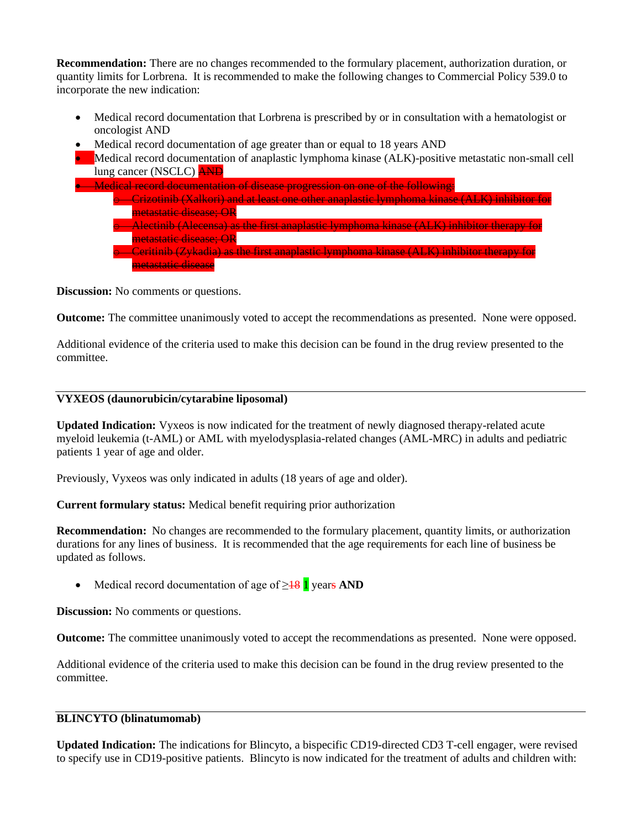**Recommendation:** There are no changes recommended to the formulary placement, authorization duration, or quantity limits for Lorbrena. It is recommended to make the following changes to Commercial Policy 539.0 to incorporate the new indication:

- Medical record documentation that Lorbrena is prescribed by or in consultation with a hematologist or oncologist AND
- Medical record documentation of age greater than or equal to 18 years AND

• Medical record documentation of anaplastic lymphoma kinase (ALK)-positive metastatic non-small cell lung cancer (NSCLC) AND

• Medical record documentation of disease progression on one of the following: o Crizotinib (Xalkori) and at least one other anaplastic lymphoma kinase (ALK) inhibitor for metastatic disease; OR o Alectinib (Alecensa) as the first anaplastic lymphoma kinase (ALK) inhibitor therapy for metastatic disease; OR o Ceritinib (Zykadia) as the first anaplastic lymphoma kinase (ALK) inhibitor therapy for metastatic disease

**Discussion:** No comments or questions.

**Outcome:** The committee unanimously voted to accept the recommendations as presented. None were opposed.

Additional evidence of the criteria used to make this decision can be found in the drug review presented to the committee.

# **VYXEOS (daunorubicin/cytarabine liposomal)**

**Updated Indication:** Vyxeos is now indicated for the treatment of newly diagnosed therapy-related acute myeloid leukemia (t-AML) or AML with myelodysplasia-related changes (AML-MRC) in adults and pediatric patients 1 year of age and older.

Previously, Vyxeos was only indicated in adults (18 years of age and older).

**Current formulary status:** Medical benefit requiring prior authorization

**Recommendation:** No changes are recommended to the formulary placement, quantity limits, or authorization durations for any lines of business. It is recommended that the age requirements for each line of business be updated as follows.

• Medical record documentation of age of ≥18 1 years **AND**

**Discussion:** No comments or questions.

**Outcome:** The committee unanimously voted to accept the recommendations as presented. None were opposed.

Additional evidence of the criteria used to make this decision can be found in the drug review presented to the committee.

#### **BLINCYTO (blinatumomab)**

**Updated Indication:** The indications for Blincyto, a bispecific CD19-directed CD3 T-cell engager, were revised to specify use in CD19-positive patients. Blincyto is now indicated for the treatment of adults and children with: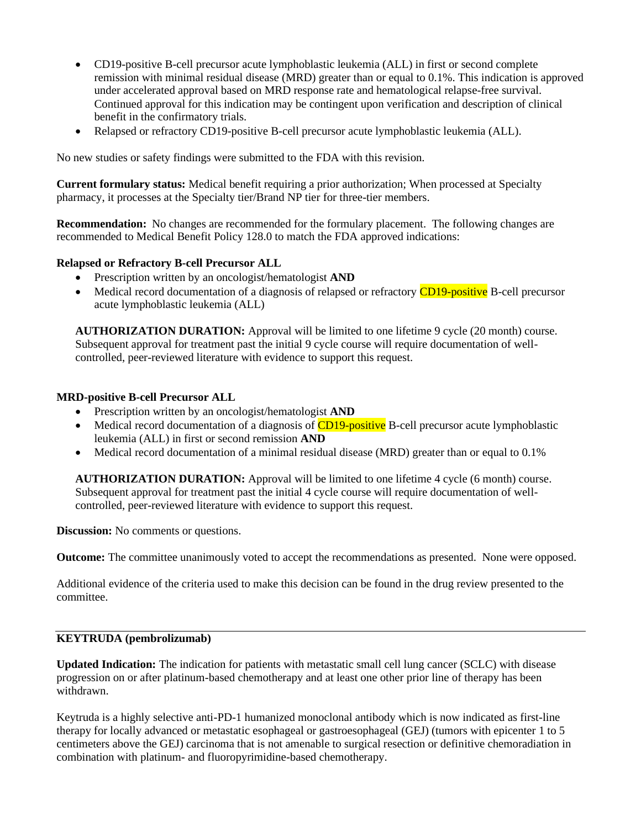- CD19-positive B-cell precursor acute lymphoblastic leukemia (ALL) in first or second complete remission with minimal residual disease (MRD) greater than or equal to 0.1%. This indication is approved under accelerated approval based on MRD response rate and hematological relapse-free survival. Continued approval for this indication may be contingent upon verification and description of clinical benefit in the confirmatory trials.
- Relapsed or refractory CD19-positive B-cell precursor acute lymphoblastic leukemia (ALL).

No new studies or safety findings were submitted to the FDA with this revision.

**Current formulary status:** Medical benefit requiring a prior authorization; When processed at Specialty pharmacy, it processes at the Specialty tier/Brand NP tier for three-tier members.

**Recommendation:** No changes are recommended for the formulary placement. The following changes are recommended to Medical Benefit Policy 128.0 to match the FDA approved indications:

# **Relapsed or Refractory B-cell Precursor ALL**

- Prescription written by an oncologist/hematologist **AND**
- Medical record documentation of a diagnosis of relapsed or refractory **CD19-positive** B-cell precursor acute lymphoblastic leukemia (ALL)

**AUTHORIZATION DURATION:** Approval will be limited to one lifetime 9 cycle (20 month) course. Subsequent approval for treatment past the initial 9 cycle course will require documentation of wellcontrolled, peer-reviewed literature with evidence to support this request.

#### **MRD-positive B-cell Precursor ALL**

- Prescription written by an oncologist/hematologist **AND**
- Medical record documentation of a diagnosis of **CD19-positive** B-cell precursor acute lymphoblastic leukemia (ALL) in first or second remission **AND**
- Medical record documentation of a minimal residual disease (MRD) greater than or equal to 0.1%

**AUTHORIZATION DURATION:** Approval will be limited to one lifetime 4 cycle (6 month) course. Subsequent approval for treatment past the initial 4 cycle course will require documentation of wellcontrolled, peer-reviewed literature with evidence to support this request.

**Discussion:** No comments or questions.

**Outcome:** The committee unanimously voted to accept the recommendations as presented. None were opposed.

Additional evidence of the criteria used to make this decision can be found in the drug review presented to the committee.

# **KEYTRUDA (pembrolizumab)**

**Updated Indication:** The indication for patients with metastatic small cell lung cancer (SCLC) with disease progression on or after platinum-based chemotherapy and at least one other prior line of therapy has been withdrawn.

Keytruda is a highly selective anti-PD-1 humanized monoclonal antibody which is now indicated as first-line therapy for locally advanced or metastatic esophageal or gastroesophageal (GEJ) (tumors with epicenter 1 to 5 centimeters above the GEJ) carcinoma that is not amenable to surgical resection or definitive chemoradiation in combination with platinum- and fluoropyrimidine-based chemotherapy.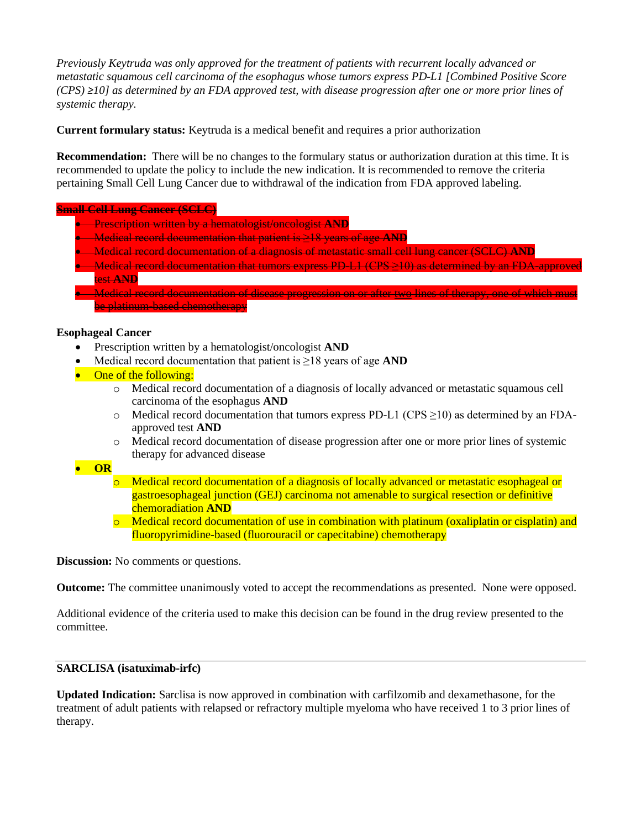*Previously Keytruda was only approved for the treatment of patients with recurrent locally advanced or metastatic squamous cell carcinoma of the esophagus whose tumors express PD-L1 [Combined Positive Score (CPS) ≥10] as determined by an FDA approved test, with disease progression after one or more prior lines of systemic therapy.* 

**Current formulary status:** Keytruda is a medical benefit and requires a prior authorization

**Recommendation:** There will be no changes to the formulary status or authorization duration at this time. It is recommended to update the policy to include the new indication. It is recommended to remove the criteria pertaining Small Cell Lung Cancer due to withdrawal of the indication from FDA approved labeling.

# **Small Cell Lung Cancer (SCLC)**

- Prescription written by a hematologist/oncologist **AND**
- Medical record documentation that patient is ≥18 years of age **AND**
- Medical record documentation of a diagnosis of metastatic small cell lung cancer (SCLC) **AND**
- Medical record documentation that tumors express PD-L1 (CPS >10) as determined by an FDA-approved test **AND**
- Medical record documentation of disease progression on or after two lines of therapy, one of which must be platinum-based chemotherapy

# **Esophageal Cancer**

- Prescription written by a hematologist/oncologist **AND**
- Medical record documentation that patient is ≥18 years of age **AND**
- One of the following:
	- o Medical record documentation of a diagnosis of locally advanced or metastatic squamous cell carcinoma of the esophagus **AND**
	- $\circ$  Medical record documentation that tumors express PD-L1 (CPS  $\geq$ 10) as determined by an FDAapproved test **AND**
	- o Medical record documentation of disease progression after one or more prior lines of systemic therapy for advanced disease

# • **OR**

- o Medical record documentation of a diagnosis of locally advanced or metastatic esophageal or gastroesophageal junction (GEJ) carcinoma not amenable to surgical resection or definitive chemoradiation **AND**
- o Medical record documentation of use in combination with platinum (oxaliplatin or cisplatin) and fluoropyrimidine-based (fluorouracil or capecitabine) chemotherapy

**Discussion:** No comments or questions.

**Outcome:** The committee unanimously voted to accept the recommendations as presented. None were opposed.

Additional evidence of the criteria used to make this decision can be found in the drug review presented to the committee.

# **SARCLISA (isatuximab-irfc)**

**Updated Indication:** Sarclisa is now approved in combination with carfilzomib and dexamethasone, for the treatment of adult patients with relapsed or refractory multiple myeloma who have received 1 to 3 prior lines of therapy.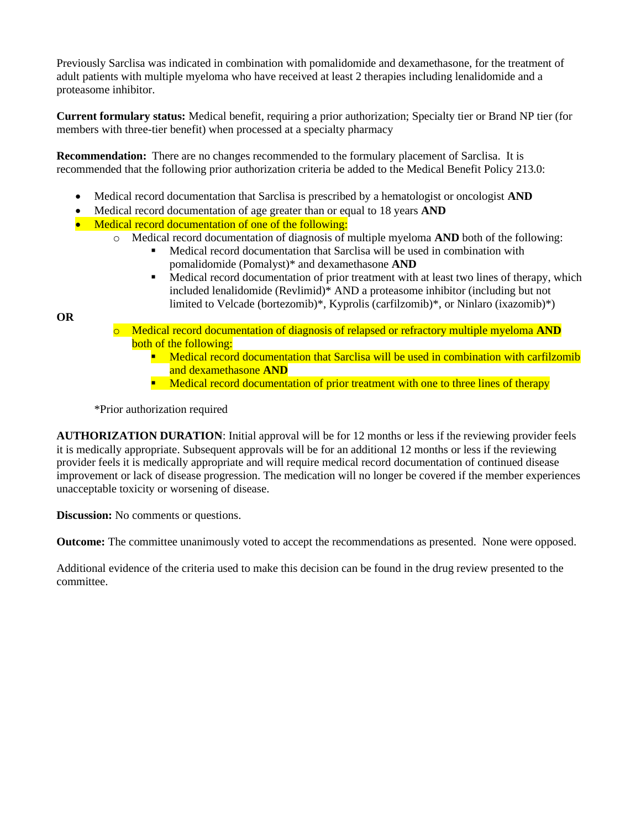Previously Sarclisa was indicated in combination with pomalidomide and dexamethasone, for the treatment of adult patients with multiple myeloma who have received at least 2 therapies including lenalidomide and a proteasome inhibitor.

**Current formulary status:** Medical benefit, requiring a prior authorization; Specialty tier or Brand NP tier (for members with three-tier benefit) when processed at a specialty pharmacy

**Recommendation:** There are no changes recommended to the formulary placement of Sarclisa. It is recommended that the following prior authorization criteria be added to the Medical Benefit Policy 213.0:

- Medical record documentation that Sarclisa is prescribed by a hematologist or oncologist **AND**
- Medical record documentation of age greater than or equal to 18 years **AND**
- Medical record documentation of one of the following:
	- o Medical record documentation of diagnosis of multiple myeloma **AND** both of the following:
		- Medical record documentation that Sarclisa will be used in combination with pomalidomide (Pomalyst)\* and dexamethasone **AND**
		- **•** Medical record documentation of prior treatment with at least two lines of therapy, which included lenalidomide (Revlimid)\* AND a proteasome inhibitor (including but not limited to Velcade (bortezomib)\*, Kyprolis (carfilzomib)\*, or Ninlaro (ixazomib)\*)

**OR**

- Medical record documentation of diagnosis of relapsed or refractory multiple myeloma **AND** both of the following:
	- **E** Medical record documentation that Sarclisa will be used in combination with carfilzomib and dexamethasone **AND**
	- **E** Medical record documentation of prior treatment with one to three lines of therapy

\*Prior authorization required

**AUTHORIZATION DURATION**: Initial approval will be for 12 months or less if the reviewing provider feels it is medically appropriate. Subsequent approvals will be for an additional 12 months or less if the reviewing provider feels it is medically appropriate and will require medical record documentation of continued disease improvement or lack of disease progression. The medication will no longer be covered if the member experiences unacceptable toxicity or worsening of disease.

**Discussion:** No comments or questions.

**Outcome:** The committee unanimously voted to accept the recommendations as presented. None were opposed.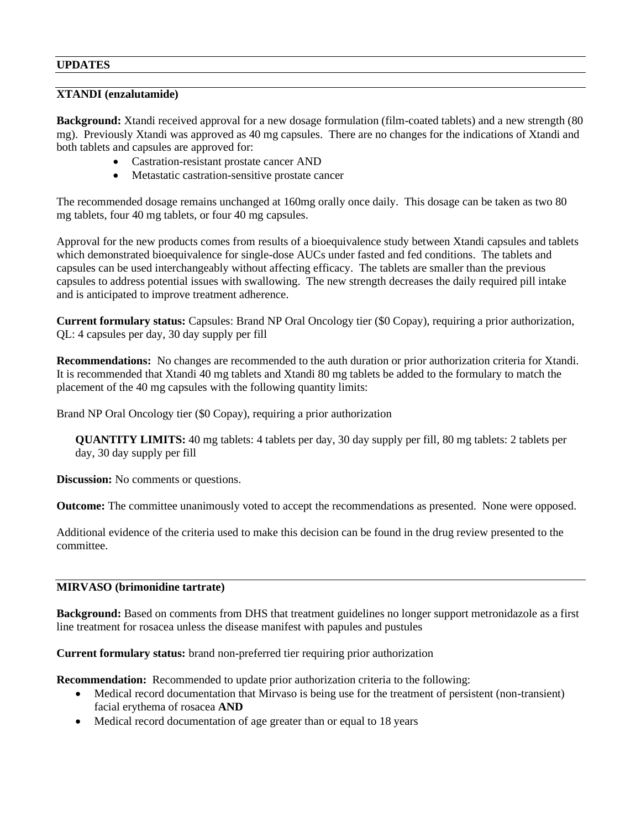# **UPDATES**

## **XTANDI (enzalutamide)**

**Background:** Xtandi received approval for a new dosage formulation (film-coated tablets) and a new strength (80 mg). Previously Xtandi was approved as 40 mg capsules. There are no changes for the indications of Xtandi and both tablets and capsules are approved for:

- Castration-resistant prostate cancer AND
- Metastatic castration-sensitive prostate cancer

The recommended dosage remains unchanged at 160mg orally once daily. This dosage can be taken as two 80 mg tablets, four 40 mg tablets, or four 40 mg capsules.

Approval for the new products comes from results of a bioequivalence study between Xtandi capsules and tablets which demonstrated bioequivalence for single-dose AUCs under fasted and fed conditions. The tablets and capsules can be used interchangeably without affecting efficacy. The tablets are smaller than the previous capsules to address potential issues with swallowing. The new strength decreases the daily required pill intake and is anticipated to improve treatment adherence.

**Current formulary status:** Capsules: Brand NP Oral Oncology tier (\$0 Copay), requiring a prior authorization, QL: 4 capsules per day, 30 day supply per fill

**Recommendations:** No changes are recommended to the auth duration or prior authorization criteria for Xtandi. It is recommended that Xtandi 40 mg tablets and Xtandi 80 mg tablets be added to the formulary to match the placement of the 40 mg capsules with the following quantity limits:

Brand NP Oral Oncology tier (\$0 Copay), requiring a prior authorization

**QUANTITY LIMITS:** 40 mg tablets: 4 tablets per day, 30 day supply per fill, 80 mg tablets: 2 tablets per day, 30 day supply per fill

**Discussion:** No comments or questions.

**Outcome:** The committee unanimously voted to accept the recommendations as presented. None were opposed.

Additional evidence of the criteria used to make this decision can be found in the drug review presented to the committee.

#### **MIRVASO (brimonidine tartrate)**

**Background:** Based on comments from DHS that treatment guidelines no longer support metronidazole as a first line treatment for rosacea unless the disease manifest with papules and pustules

**Current formulary status:** brand non-preferred tier requiring prior authorization

**Recommendation:** Recommended to update prior authorization criteria to the following:

- Medical record documentation that Mirvaso is being use for the treatment of persistent (non-transient) facial erythema of rosacea **AND**
- Medical record documentation of age greater than or equal to 18 years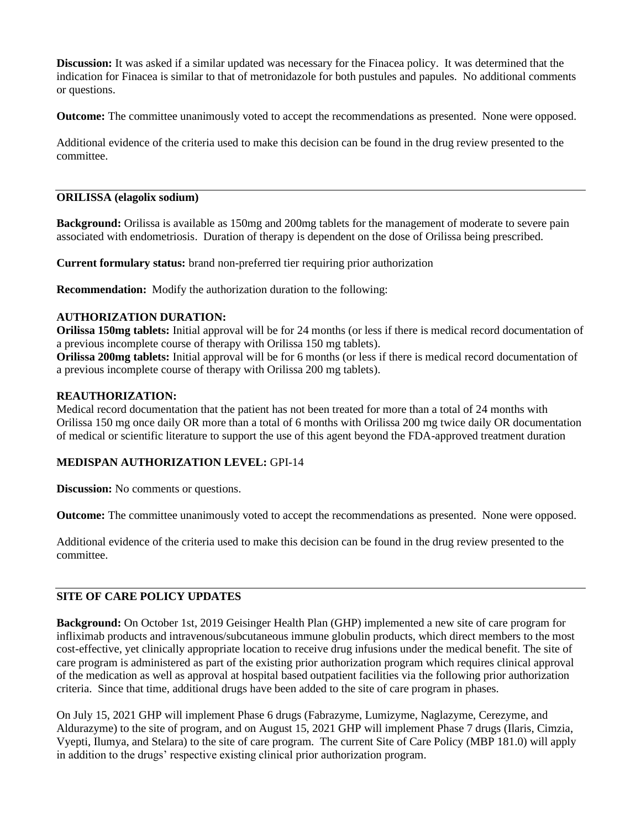**Discussion:** It was asked if a similar updated was necessary for the Finacea policy. It was determined that the indication for Finacea is similar to that of metronidazole for both pustules and papules. No additional comments or questions.

**Outcome:** The committee unanimously voted to accept the recommendations as presented. None were opposed.

Additional evidence of the criteria used to make this decision can be found in the drug review presented to the committee.

# **ORILISSA (elagolix sodium)**

**Background:** Orilissa is available as 150mg and 200mg tablets for the management of moderate to severe pain associated with endometriosis. Duration of therapy is dependent on the dose of Orilissa being prescribed.

**Current formulary status:** brand non-preferred tier requiring prior authorization

**Recommendation:** Modify the authorization duration to the following:

#### **AUTHORIZATION DURATION:**

**Orilissa 150mg tablets:** Initial approval will be for 24 months (or less if there is medical record documentation of a previous incomplete course of therapy with Orilissa 150 mg tablets).

**Orilissa 200mg tablets:** Initial approval will be for 6 months (or less if there is medical record documentation of a previous incomplete course of therapy with Orilissa 200 mg tablets).

#### **REAUTHORIZATION:**

Medical record documentation that the patient has not been treated for more than a total of 24 months with Orilissa 150 mg once daily OR more than a total of 6 months with Orilissa 200 mg twice daily OR documentation of medical or scientific literature to support the use of this agent beyond the FDA-approved treatment duration

# **MEDISPAN AUTHORIZATION LEVEL:** GPI-14

**Discussion:** No comments or questions.

**Outcome:** The committee unanimously voted to accept the recommendations as presented. None were opposed.

Additional evidence of the criteria used to make this decision can be found in the drug review presented to the committee.

# **SITE OF CARE POLICY UPDATES**

**Background:** On October 1st, 2019 Geisinger Health Plan (GHP) implemented a new site of care program for infliximab products and intravenous/subcutaneous immune globulin products, which direct members to the most cost-effective, yet clinically appropriate location to receive drug infusions under the medical benefit. The site of care program is administered as part of the existing prior authorization program which requires clinical approval of the medication as well as approval at hospital based outpatient facilities via the following prior authorization criteria. Since that time, additional drugs have been added to the site of care program in phases.

On July 15, 2021 GHP will implement Phase 6 drugs (Fabrazyme, Lumizyme, Naglazyme, Cerezyme, and Aldurazyme) to the site of program, and on August 15, 2021 GHP will implement Phase 7 drugs (Ilaris, Cimzia, Vyepti, Ilumya, and Stelara) to the site of care program. The current Site of Care Policy (MBP 181.0) will apply in addition to the drugs' respective existing clinical prior authorization program.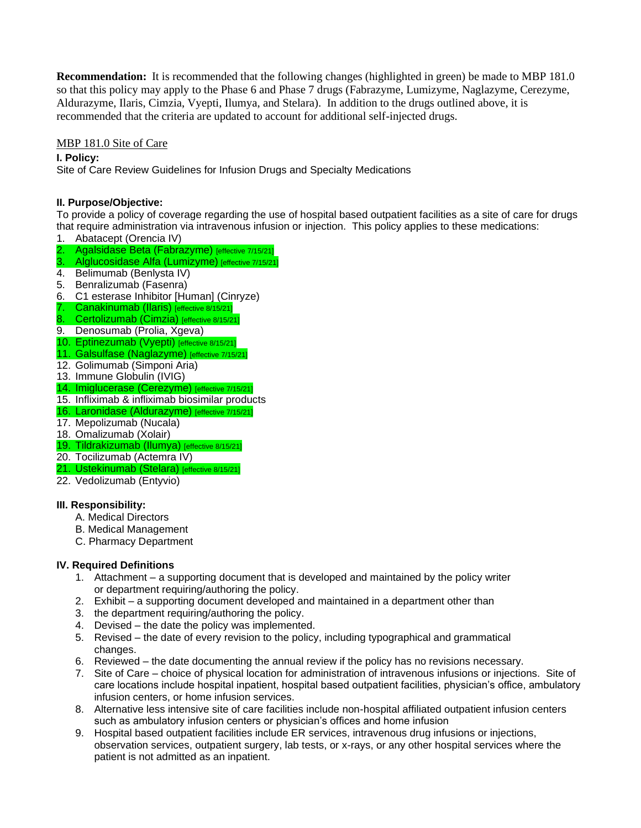**Recommendation:** It is recommended that the following changes (highlighted in green) be made to MBP 181.0 so that this policy may apply to the Phase 6 and Phase 7 drugs (Fabrazyme, Lumizyme, Naglazyme, Cerezyme, Aldurazyme, Ilaris, Cimzia, Vyepti, Ilumya, and Stelara). In addition to the drugs outlined above, it is recommended that the criteria are updated to account for additional self-injected drugs.

# MBP 181.0 Site of Care

**I. Policy:**

Site of Care Review Guidelines for Infusion Drugs and Specialty Medications

# **II. Purpose/Objective:**

To provide a policy of coverage regarding the use of hospital based outpatient facilities as a site of care for drugs that require administration via intravenous infusion or injection. This policy applies to these medications:

- 1. Abatacept (Orencia IV)
- 2. Agalsidase Beta (Fabrazyme) [effective 7/15/21]
- 3. Alglucosidase Alfa (Lumizyme) [effective 7/15/21]
- 4. Belimumab (Benlysta IV)
- 5. Benralizumab (Fasenra)
- 6. C1 esterase Inhibitor [Human] (Cinryze)
- 7. Canakinumab (Ilaris) [effective 8/15/21]
- 8. Certolizumab (Cimzia) [effective 8/15/21]
- 9. Denosumab (Prolia, Xgeva)
- 10. Eptinezumab (Vyepti) [effective 8/15/21]
- 11. Galsulfase (Naglazyme) [effective 7/15/21]
- 12. Golimumab (Simponi Aria)
- 13. Immune Globulin (IVIG)
- 14. Imiglucerase (Cerezyme) [effective 7/15/21]
- 15. Infliximab & infliximab biosimilar products
- 16. Laronidase (Aldurazyme) [effective 7/15/21]
- 17. Mepolizumab (Nucala)
- 18. Omalizumab (Xolair)
- 19. Tildrakizumab (Ilumya) [effective 8/15/21]
- 20. Tocilizumab (Actemra IV)
- 21. Ustekinumab (Stelara) [effective 8/15/21]
- 22. Vedolizumab (Entyvio)

# **III. Responsibility:**

- A. Medical Directors
- B. Medical Management
- C. Pharmacy Department

# **IV. Required Definitions**

- 1. Attachment a supporting document that is developed and maintained by the policy writer or department requiring/authoring the policy.
- 2. Exhibit a supporting document developed and maintained in a department other than
- 3. the department requiring/authoring the policy.
- 4. Devised the date the policy was implemented.
- 5. Revised the date of every revision to the policy, including typographical and grammatical changes.
- 6. Reviewed the date documenting the annual review if the policy has no revisions necessary.
- 7. Site of Care choice of physical location for administration of intravenous infusions or injections. Site of care locations include hospital inpatient, hospital based outpatient facilities, physician's office, ambulatory infusion centers, or home infusion services.
- 8. Alternative less intensive site of care facilities include non-hospital affiliated outpatient infusion centers such as ambulatory infusion centers or physician's offices and home infusion
- 9. Hospital based outpatient facilities include ER services, intravenous drug infusions or injections, observation services, outpatient surgery, lab tests, or x-rays, or any other hospital services where the patient is not admitted as an inpatient.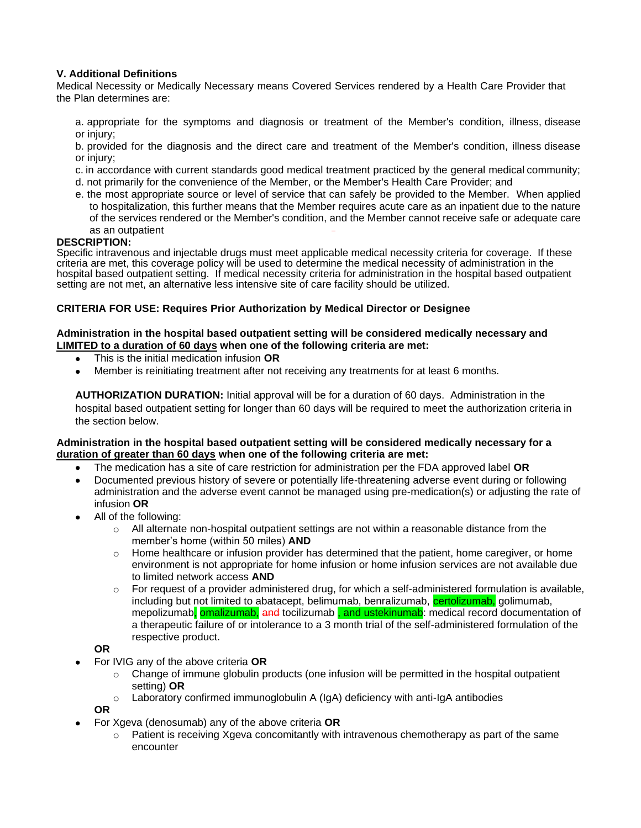## **V. Additional Definitions**

Medical Necessity or Medically Necessary means Covered Services rendered by a Health Care Provider that the Plan determines are:

a. appropriate for the symptoms and diagnosis or treatment of the Member's condition, illness, disease or injury;

b. provided for the diagnosis and the direct care and treatment of the Member's condition, illness disease or injury;

- c. in accordance with current standards good medical treatment practiced by the general medical community;
- d. not primarily for the convenience of the Member, or the Member's Health Care Provider; and
- e. the most appropriate source or level of service that can safely be provided to the Member. When applied to hospitalization, this further means that the Member requires acute care as an inpatient due to the nature of the services rendered or the Member's condition, and the Member cannot receive safe or adequate care as an outpatient

#### **DESCRIPTION:**

Specific intravenous and injectable drugs must meet applicable medical necessity criteria for coverage. If these criteria are met, this coverage policy will be used to determine the medical necessity of administration in the hospital based outpatient setting. If medical necessity criteria for administration in the hospital based outpatient setting are not met, an alternative less intensive site of care facility should be utilized.

#### **CRITERIA FOR USE: Requires Prior Authorization by Medical Director or Designee**

#### **Administration in the hospital based outpatient setting will be considered medically necessary and LIMITED to a duration of 60 days when one of the following criteria are met:**

- This is the initial medication infusion **OR**
- Member is reinitiating treatment after not receiving any treatments for at least 6 months.

**AUTHORIZATION DURATION:** Initial approval will be for a duration of 60 days. Administration in the hospital based outpatient setting for longer than 60 days will be required to meet the authorization criteria in the section below.

#### **Administration in the hospital based outpatient setting will be considered medically necessary for a duration of greater than 60 days when one of the following criteria are met:**

- The medication has a site of care restriction for administration per the FDA approved label **OR**
- Documented previous history of severe or potentially life-threatening adverse event during or following administration and the adverse event cannot be managed using pre-medication(s) or adjusting the rate of infusion **OR**
- All of the following:
	- o All alternate non-hospital outpatient settings are not within a reasonable distance from the member's home (within 50 miles) **AND**
	- $\circ$  Home healthcare or infusion provider has determined that the patient, home caregiver, or home environment is not appropriate for home infusion or home infusion services are not available due to limited network access **AND**
	- $\circ$  For request of a provider administered drug, for which a self-administered formulation is available, including but not limited to abatacept, belimumab, benralizumab, certolizumab, golimumab, mepolizumab, **omalizumab, and tocilizumab, and ustekinumab**: medical record documentation of a therapeutic failure of or intolerance to a 3 month trial of the self-administered formulation of the respective product.

#### **OR**

- For IVIG any of the above criteria **OR**
	- $\circ$  Change of immune globulin products (one infusion will be permitted in the hospital outpatient setting) **OR**
	- $\circ$  Laboratory confirmed immunoglobulin A (IgA) deficiency with anti-IgA antibodies

**OR**

- For Xgeva (denosumab) any of the above criteria **OR**
	- $\circ$  Patient is receiving Xgeva concomitantly with intravenous chemotherapy as part of the same encounter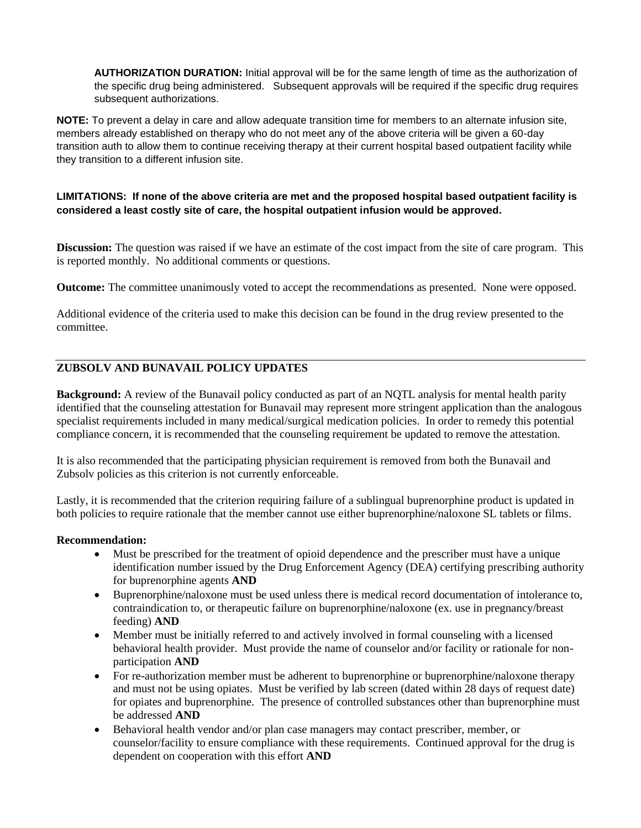**AUTHORIZATION DURATION:** Initial approval will be for the same length of time as the authorization of the specific drug being administered. Subsequent approvals will be required if the specific drug requires subsequent authorizations.

**NOTE:** To prevent a delay in care and allow adequate transition time for members to an alternate infusion site, members already established on therapy who do not meet any of the above criteria will be given a 60-day transition auth to allow them to continue receiving therapy at their current hospital based outpatient facility while they transition to a different infusion site.

# **LIMITATIONS: If none of the above criteria are met and the proposed hospital based outpatient facility is considered a least costly site of care, the hospital outpatient infusion would be approved.**

**Discussion:** The question was raised if we have an estimate of the cost impact from the site of care program. This is reported monthly. No additional comments or questions.

**Outcome:** The committee unanimously voted to accept the recommendations as presented. None were opposed.

Additional evidence of the criteria used to make this decision can be found in the drug review presented to the committee.

# **ZUBSOLV AND BUNAVAIL POLICY UPDATES**

**Background:** A review of the Bunavail policy conducted as part of an NQTL analysis for mental health parity identified that the counseling attestation for Bunavail may represent more stringent application than the analogous specialist requirements included in many medical/surgical medication policies. In order to remedy this potential compliance concern, it is recommended that the counseling requirement be updated to remove the attestation.

It is also recommended that the participating physician requirement is removed from both the Bunavail and Zubsolv policies as this criterion is not currently enforceable.

Lastly, it is recommended that the criterion requiring failure of a sublingual buprenorphine product is updated in both policies to require rationale that the member cannot use either buprenorphine/naloxone SL tablets or films.

#### **Recommendation:**

- Must be prescribed for the treatment of opioid dependence and the prescriber must have a unique identification number issued by the Drug Enforcement Agency (DEA) certifying prescribing authority for buprenorphine agents **AND**
- Buprenorphine/naloxone must be used unless there is medical record documentation of intolerance to, contraindication to, or therapeutic failure on buprenorphine/naloxone (ex. use in pregnancy/breast feeding) **AND**
- Member must be initially referred to and actively involved in formal counseling with a licensed behavioral health provider. Must provide the name of counselor and/or facility or rationale for nonparticipation **AND**
- For re-authorization member must be adherent to buprenorphine or buprenorphine/naloxone therapy and must not be using opiates. Must be verified by lab screen (dated within 28 days of request date) for opiates and buprenorphine. The presence of controlled substances other than buprenorphine must be addressed **AND**
- Behavioral health vendor and/or plan case managers may contact prescriber, member, or counselor/facility to ensure compliance with these requirements. Continued approval for the drug is dependent on cooperation with this effort **AND**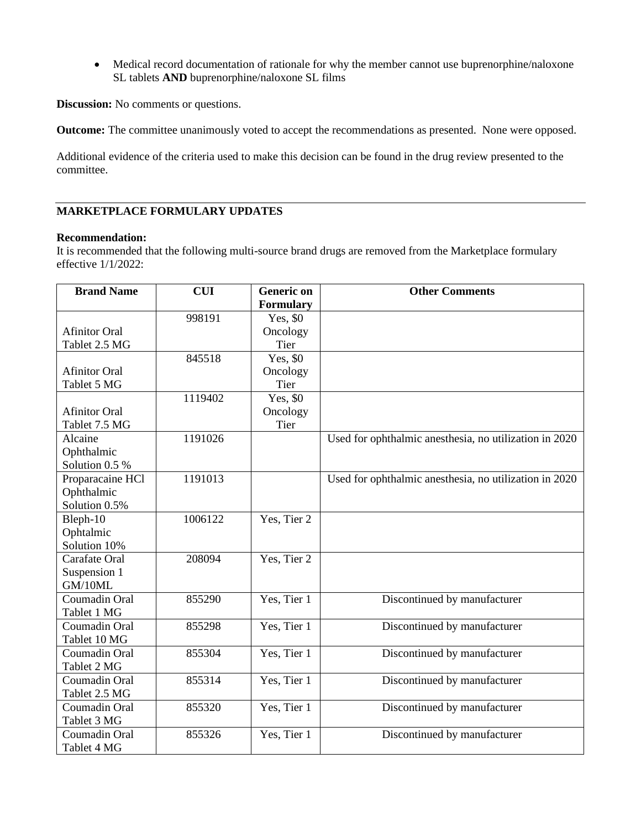• Medical record documentation of rationale for why the member cannot use buprenorphine/naloxone SL tablets **AND** buprenorphine/naloxone SL films

**Discussion:** No comments or questions.

**Outcome:** The committee unanimously voted to accept the recommendations as presented. None were opposed.

Additional evidence of the criteria used to make this decision can be found in the drug review presented to the committee.

# **MARKETPLACE FORMULARY UPDATES**

#### **Recommendation:**

It is recommended that the following multi-source brand drugs are removed from the Marketplace formulary effective 1/1/2022:

| <b>Brand Name</b>    | <b>CUI</b> | <b>Generic on</b><br>Formulary | <b>Other Comments</b>                                  |
|----------------------|------------|--------------------------------|--------------------------------------------------------|
|                      | 998191     | Yes, \$0                       |                                                        |
| <b>Afinitor Oral</b> |            | Oncology                       |                                                        |
| Tablet 2.5 MG        |            | Tier                           |                                                        |
|                      | 845518     | Yes, \$0                       |                                                        |
| <b>Afinitor Oral</b> |            | Oncology                       |                                                        |
| Tablet 5 MG          |            | Tier                           |                                                        |
|                      | 1119402    | Yes, \$0                       |                                                        |
| <b>Afinitor Oral</b> |            | Oncology                       |                                                        |
| Tablet 7.5 MG        |            | Tier                           |                                                        |
| Alcaine              | 1191026    |                                | Used for ophthalmic anesthesia, no utilization in 2020 |
| Ophthalmic           |            |                                |                                                        |
| Solution 0.5 %       |            |                                |                                                        |
| Proparacaine HCl     | 1191013    |                                | Used for ophthalmic anesthesia, no utilization in 2020 |
| Ophthalmic           |            |                                |                                                        |
| Solution 0.5%        |            |                                |                                                        |
| Bleph-10             | 1006122    | Yes, Tier 2                    |                                                        |
| Ophtalmic            |            |                                |                                                        |
| Solution 10%         |            |                                |                                                        |
| Carafate Oral        | 208094     | Yes, Tier 2                    |                                                        |
| Suspension 1         |            |                                |                                                        |
| GM/10ML              |            |                                |                                                        |
| Coumadin Oral        | 855290     | Yes, Tier 1                    | Discontinued by manufacturer                           |
| Tablet 1 MG          |            |                                |                                                        |
| Coumadin Oral        | 855298     | Yes, Tier 1                    | Discontinued by manufacturer                           |
| Tablet 10 MG         |            |                                |                                                        |
| Coumadin Oral        | 855304     | Yes, Tier 1                    | Discontinued by manufacturer                           |
| Tablet 2 MG          |            |                                |                                                        |
| Coumadin Oral        | 855314     | Yes, Tier 1                    | Discontinued by manufacturer                           |
| Tablet 2.5 MG        |            |                                |                                                        |
|                      |            |                                |                                                        |
| Coumadin Oral        | 855320     | Yes, Tier 1                    | Discontinued by manufacturer                           |
| Tablet 3 MG          |            |                                |                                                        |
| Coumadin Oral        | 855326     | Yes, Tier 1                    | Discontinued by manufacturer                           |
| Tablet 4 MG          |            |                                |                                                        |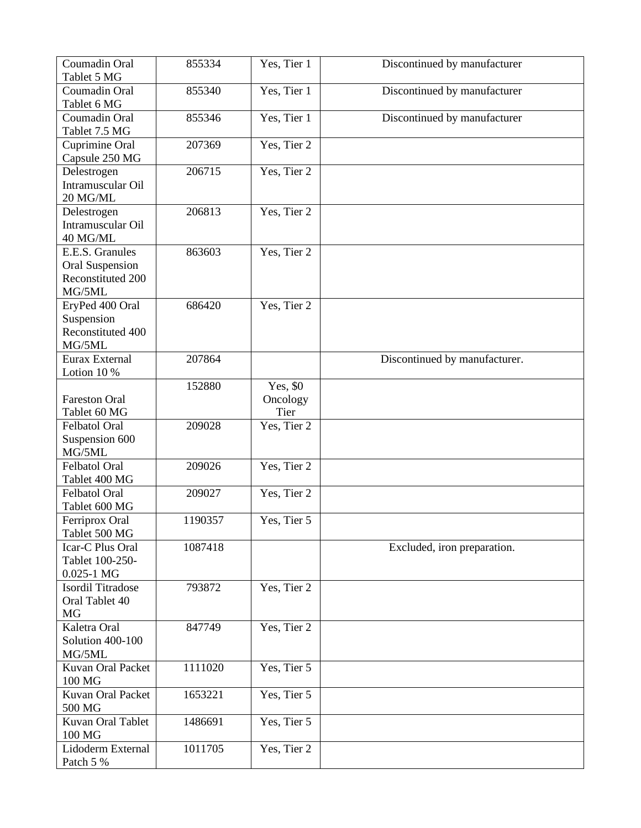| Coumadin Oral<br>Tablet 5 MG                                             | 855334  | Yes, Tier 1                  | Discontinued by manufacturer  |
|--------------------------------------------------------------------------|---------|------------------------------|-------------------------------|
| Coumadin Oral<br>Tablet 6 MG                                             | 855340  | Yes, Tier 1                  | Discontinued by manufacturer  |
| Coumadin Oral<br>Tablet 7.5 MG                                           | 855346  | Yes, Tier 1                  | Discontinued by manufacturer  |
| Cuprimine Oral<br>Capsule 250 MG                                         | 207369  | Yes, Tier 2                  |                               |
| Delestrogen<br>Intramuscular Oil<br>20 MG/ML                             | 206715  | Yes, Tier 2                  |                               |
| Delestrogen<br>Intramuscular Oil<br>40 MG/ML                             | 206813  | Yes, Tier 2                  |                               |
| E.E.S. Granules<br><b>Oral Suspension</b><br>Reconstituted 200<br>MG/5ML | 863603  | Yes, Tier 2                  |                               |
| EryPed 400 Oral<br>Suspension<br>Reconstituted 400<br>MG/5ML             | 686420  | Yes, Tier 2                  |                               |
| Eurax External<br>Lotion 10 %                                            | 207864  |                              | Discontinued by manufacturer. |
| <b>Fareston Oral</b><br>Tablet 60 MG                                     | 152880  | Yes, \$0<br>Oncology<br>Tier |                               |
| Felbatol Oral<br>Suspension 600<br>MG/5ML                                | 209028  | Yes, Tier 2                  |                               |
| Felbatol Oral<br>Tablet 400 MG                                           | 209026  | Yes, Tier 2                  |                               |
| Felbatol Oral<br>Tablet 600 MG                                           | 209027  | Yes, Tier 2                  |                               |
| Ferriprox Oral<br>Tablet 500 MG                                          | 1190357 | Yes, Tier 5                  |                               |
| Icar-C Plus Oral<br>Tablet 100-250-<br>$0.025 - 1$ MG                    | 1087418 |                              | Excluded, iron preparation.   |
| Isordil Titradose<br>Oral Tablet 40<br>MG                                | 793872  | Yes, Tier 2                  |                               |
| Kaletra Oral<br>Solution 400-100<br>MG/5ML                               | 847749  | Yes, Tier 2                  |                               |
| Kuvan Oral Packet<br>100 MG                                              | 1111020 | Yes, Tier 5                  |                               |
| Kuvan Oral Packet<br>500 MG                                              | 1653221 | Yes, Tier 5                  |                               |
| Kuvan Oral Tablet<br>100 MG                                              | 1486691 | Yes, Tier 5                  |                               |
| Lidoderm External<br>Patch 5 %                                           | 1011705 | Yes, Tier 2                  |                               |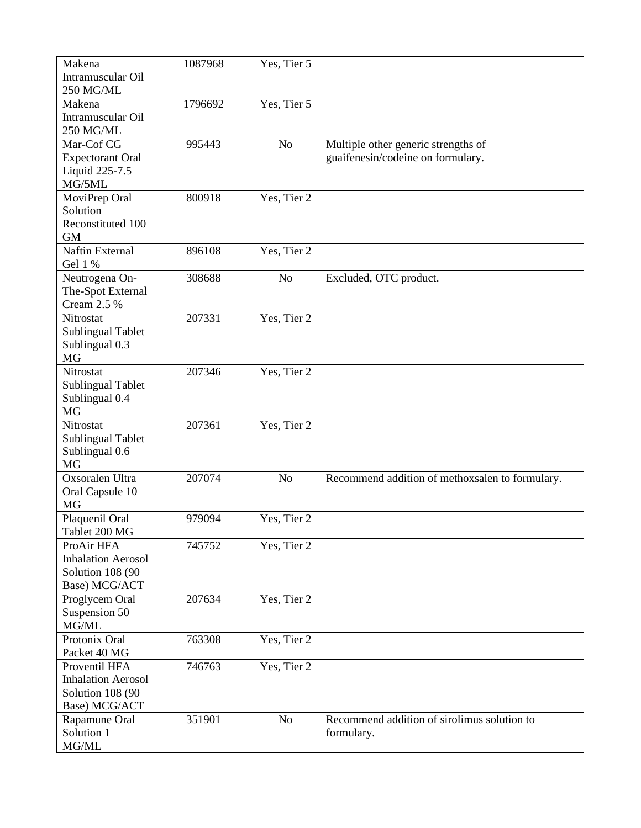| Makena<br>Intramuscular Oil                                                     | 1087968 | Yes, Tier 5    |                                                                          |
|---------------------------------------------------------------------------------|---------|----------------|--------------------------------------------------------------------------|
| 250 MG/ML<br>Makena<br>Intramuscular Oil<br>250 MG/ML                           | 1796692 | Yes, Tier 5    |                                                                          |
| Mar-Cof CG<br><b>Expectorant Oral</b><br>Liquid 225-7.5<br>MG/5ML               | 995443  | No             | Multiple other generic strengths of<br>guaifenesin/codeine on formulary. |
| MoviPrep Oral<br>Solution<br>Reconstituted 100<br><b>GM</b>                     | 800918  | Yes, Tier 2    |                                                                          |
| <b>Naftin External</b><br>Gel 1 %                                               | 896108  | Yes, Tier 2    |                                                                          |
| Neutrogena On-<br>The-Spot External<br>Cream 2.5 %                              | 308688  | No             | Excluded, OTC product.                                                   |
| Nitrostat<br><b>Sublingual Tablet</b><br>Sublingual 0.3<br><b>MG</b>            | 207331  | Yes, Tier 2    |                                                                          |
| Nitrostat<br><b>Sublingual Tablet</b><br>Sublingual 0.4<br><b>MG</b>            | 207346  | Yes, Tier 2    |                                                                          |
| Nitrostat<br><b>Sublingual Tablet</b><br>Sublingual 0.6<br>MG                   | 207361  | Yes, Tier 2    |                                                                          |
| Oxsoralen Ultra<br>Oral Capsule 10<br>MG                                        | 207074  | N <sub>o</sub> | Recommend addition of methoxsalen to formulary.                          |
| Plaquenil Oral<br>Tablet 200 MG                                                 | 979094  | Yes, Tier 2    |                                                                          |
| ProAir HFA<br><b>Inhalation Aerosol</b><br>Solution 108 (90<br>Base) MCG/ACT    | 745752  | Yes, Tier 2    |                                                                          |
| Proglycem Oral<br>Suspension 50<br>MG/ML                                        | 207634  | Yes, Tier 2    |                                                                          |
| Protonix Oral<br>Packet 40 MG                                                   | 763308  | Yes, Tier 2    |                                                                          |
| Proventil HFA<br><b>Inhalation Aerosol</b><br>Solution 108 (90<br>Base) MCG/ACT | 746763  | Yes, Tier 2    |                                                                          |
| Rapamune Oral<br>Solution 1<br>MG/ML                                            | 351901  | No             | Recommend addition of sirolimus solution to<br>formulary.                |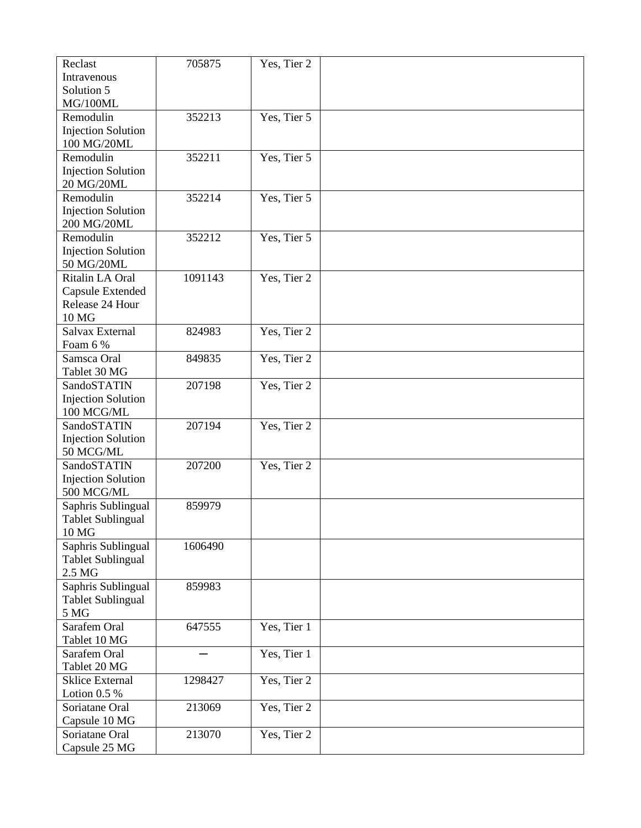| Reclast                                  | 705875  | Yes, Tier 2 |  |
|------------------------------------------|---------|-------------|--|
| Intravenous                              |         |             |  |
| Solution 5                               |         |             |  |
| MG/100ML                                 |         |             |  |
| Remodulin                                | 352213  | Yes, Tier 5 |  |
| <b>Injection Solution</b>                |         |             |  |
| 100 MG/20ML                              |         |             |  |
| Remodulin                                | 352211  | Yes, Tier 5 |  |
| <b>Injection Solution</b>                |         |             |  |
| 20 MG/20ML                               |         |             |  |
| Remodulin                                | 352214  | Yes, Tier 5 |  |
| <b>Injection Solution</b><br>200 MG/20ML |         |             |  |
| Remodulin                                | 352212  | Yes, Tier 5 |  |
| <b>Injection Solution</b>                |         |             |  |
| 50 MG/20ML                               |         |             |  |
| Ritalin LA Oral                          | 1091143 | Yes, Tier 2 |  |
| Capsule Extended                         |         |             |  |
| Release 24 Hour                          |         |             |  |
| 10 MG                                    |         |             |  |
| Salvax External                          | 824983  | Yes, Tier 2 |  |
| Foam 6 %                                 |         |             |  |
| Samsca Oral                              | 849835  | Yes, Tier 2 |  |
| Tablet 30 MG                             |         |             |  |
| SandoSTATIN                              | 207198  | Yes, Tier 2 |  |
| <b>Injection Solution</b>                |         |             |  |
| 100 MCG/ML                               |         |             |  |
| SandoSTATIN                              | 207194  | Yes, Tier 2 |  |
| <b>Injection Solution</b>                |         |             |  |
| 50 MCG/ML<br>SandoSTATIN                 | 207200  | Yes, Tier 2 |  |
| <b>Injection Solution</b>                |         |             |  |
| 500 MCG/ML                               |         |             |  |
| Saphris Sublingual                       | 859979  |             |  |
| <b>Tablet Sublingual</b>                 |         |             |  |
| 10 MG                                    |         |             |  |
| Saphris Sublingual                       | 1606490 |             |  |
| <b>Tablet Sublingual</b>                 |         |             |  |
| 2.5 MG                                   |         |             |  |
| Saphris Sublingual                       | 859983  |             |  |
| <b>Tablet Sublingual</b>                 |         |             |  |
| 5 MG                                     |         |             |  |
| Sarafem Oral                             | 647555  | Yes, Tier 1 |  |
| Tablet 10 MG                             |         |             |  |
| Sarafem Oral                             |         | Yes, Tier 1 |  |
| Tablet 20 MG                             |         |             |  |
| <b>Sklice External</b>                   | 1298427 | Yes, Tier 2 |  |
| Lotion $0.5\%$                           |         |             |  |
| Soriatane Oral                           | 213069  | Yes, Tier 2 |  |
| Capsule 10 MG                            |         |             |  |
| Soriatane Oral                           | 213070  | Yes, Tier 2 |  |
| Capsule 25 MG                            |         |             |  |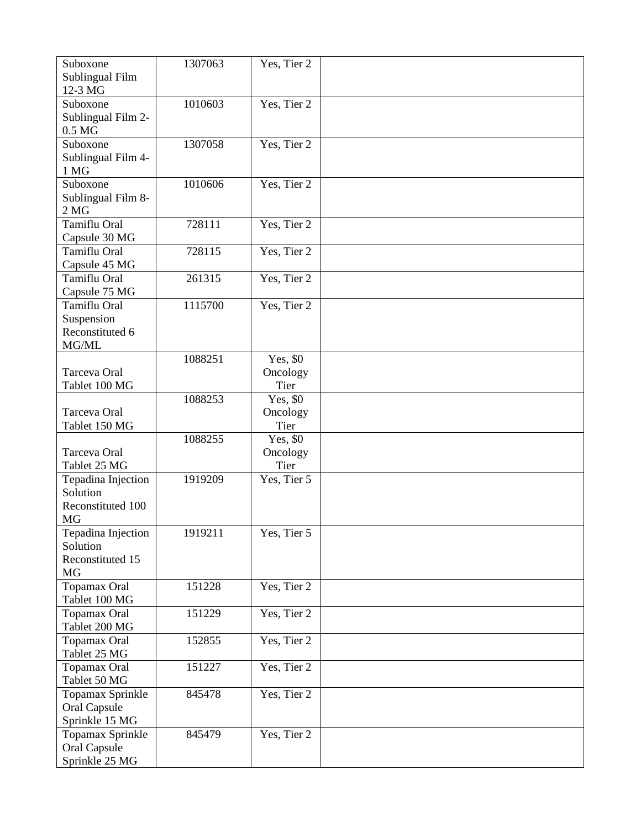| Suboxone<br>Sublingual Film<br>12-3 MG                        | 1307063 | Yes, Tier 2                  |  |
|---------------------------------------------------------------|---------|------------------------------|--|
| Suboxone<br>Sublingual Film 2-<br>0.5 <sub>M</sub> G          | 1010603 | Yes, Tier 2                  |  |
| Suboxone<br>Sublingual Film 4-<br>1 MG                        | 1307058 | Yes, Tier 2                  |  |
| Suboxone<br>Sublingual Film 8-<br>2 <sub>MG</sub>             | 1010606 | Yes, Tier 2                  |  |
| Tamiflu Oral<br>Capsule 30 MG                                 | 728111  | Yes, Tier 2                  |  |
| Tamiflu Oral<br>Capsule 45 MG                                 | 728115  | Yes, Tier 2                  |  |
| Tamiflu Oral<br>Capsule 75 MG                                 | 261315  | Yes, Tier 2                  |  |
| <b>Tamiflu Oral</b><br>Suspension<br>Reconstituted 6<br>MG/ML | 1115700 | Yes, Tier 2                  |  |
| Tarceva Oral<br>Tablet 100 MG                                 | 1088251 | Yes, \$0<br>Oncology<br>Tier |  |
| Tarceva Oral<br>Tablet 150 MG                                 | 1088253 | Yes, \$0<br>Oncology<br>Tier |  |
| Tarceva Oral<br>Tablet 25 MG                                  | 1088255 | Yes, \$0<br>Oncology<br>Tier |  |
| Tepadina Injection<br>Solution<br>Reconstituted 100<br>MG     | 1919209 | Yes, Tier 5                  |  |
| Tepadina Injection<br>Solution<br>Reconstituted 15<br>MG      | 1919211 | Yes, Tier 5                  |  |
| Topamax Oral<br>Tablet 100 MG                                 | 151228  | Yes, Tier 2                  |  |
| Topamax Oral<br>Tablet 200 MG                                 | 151229  | Yes, Tier 2                  |  |
| Topamax Oral<br>Tablet 25 MG                                  | 152855  | Yes, Tier 2                  |  |
| Topamax Oral<br>Tablet 50 MG                                  | 151227  | Yes, Tier 2                  |  |
| Topamax Sprinkle<br><b>Oral Capsule</b><br>Sprinkle 15 MG     | 845478  | Yes, Tier 2                  |  |
| Topamax Sprinkle<br>Oral Capsule<br>Sprinkle 25 MG            | 845479  | Yes, Tier 2                  |  |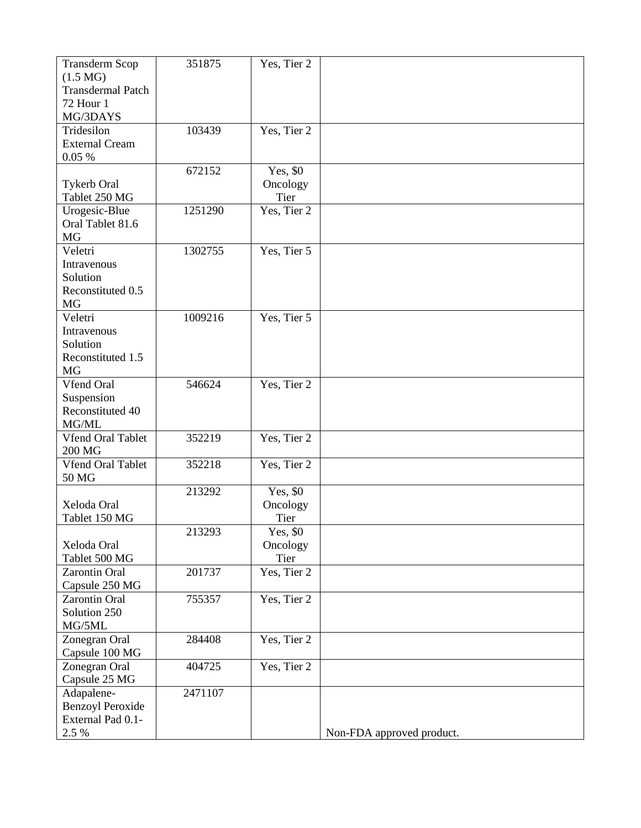| <b>Transderm Scop</b><br>$(1.5 \text{ MG})$<br><b>Transdermal Patch</b><br><b>72 Hour 1</b><br>MG/3DAYS | 351875  | Yes, Tier 2                  |                           |
|---------------------------------------------------------------------------------------------------------|---------|------------------------------|---------------------------|
| Tridesilon<br><b>External Cream</b><br>0.05%                                                            | 103439  | Yes, Tier 2                  |                           |
| <b>Tykerb Oral</b><br>Tablet 250 MG                                                                     | 672152  | Yes, \$0<br>Oncology<br>Tier |                           |
| Urogesic-Blue<br>Oral Tablet 81.6<br>MG                                                                 | 1251290 | Yes, Tier 2                  |                           |
| Veletri<br>Intravenous<br>Solution<br>Reconstituted 0.5<br>MG                                           | 1302755 | Yes, Tier 5                  |                           |
| Veletri<br>Intravenous<br>Solution<br>Reconstituted 1.5<br>MG                                           | 1009216 | Yes, Tier 5                  |                           |
| Vfend Oral<br>Suspension<br>Reconstituted 40<br>MG/ML                                                   | 546624  | Yes, Tier 2                  |                           |
| <b>Vfend Oral Tablet</b><br>200 MG                                                                      | 352219  | Yes, Tier 2                  |                           |
| <b>Vfend Oral Tablet</b><br>50 MG                                                                       | 352218  | Yes, Tier 2                  |                           |
| Xeloda Oral<br>Tablet 150 MG                                                                            | 213292  | Yes, \$0<br>Oncology<br>Tier |                           |
| Xeloda Oral<br>Tablet 500 MG                                                                            | 213293  | Yes, \$0<br>Oncology<br>Tier |                           |
| Zarontin Oral<br>Capsule 250 MG                                                                         | 201737  | Yes, Tier 2                  |                           |
| <b>Zarontin Oral</b><br>Solution 250<br>MG/5ML                                                          | 755357  | Yes, Tier 2                  |                           |
| Zonegran Oral<br>Capsule 100 MG                                                                         | 284408  | Yes, Tier 2                  |                           |
| Zonegran Oral<br>Capsule 25 MG                                                                          | 404725  | Yes, Tier 2                  |                           |
| Adapalene-<br><b>Benzoyl Peroxide</b><br>External Pad 0.1-<br>2.5 %                                     | 2471107 |                              | Non-FDA approved product. |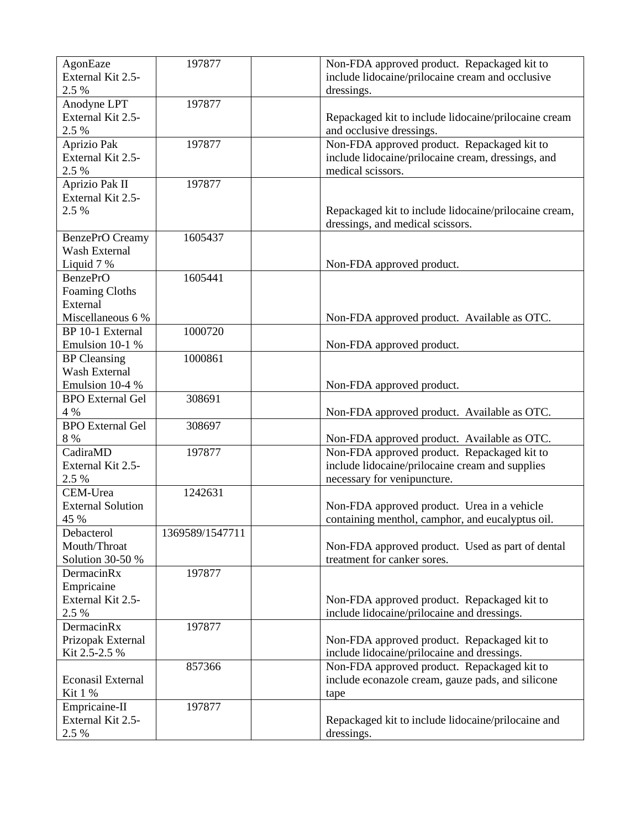| AgonEaze<br>External Kit 2.5- | 197877          | Non-FDA approved product. Repackaged kit to<br>include lidocaine/prilocaine cream and occlusive |
|-------------------------------|-----------------|-------------------------------------------------------------------------------------------------|
| 2.5 %                         |                 | dressings.                                                                                      |
| Anodyne LPT                   | 197877          |                                                                                                 |
| External Kit 2.5-<br>2.5 %    |                 | Repackaged kit to include lidocaine/prilocaine cream<br>and occlusive dressings.                |
| Aprizio Pak                   | 197877          | Non-FDA approved product. Repackaged kit to                                                     |
| External Kit 2.5-             |                 | include lidocaine/prilocaine cream, dressings, and                                              |
| 2.5 %                         |                 | medical scissors.                                                                               |
| Aprizio Pak II                | 197877          |                                                                                                 |
| External Kit 2.5-             |                 |                                                                                                 |
| 2.5 %                         |                 | Repackaged kit to include lidocaine/prilocaine cream,                                           |
|                               |                 | dressings, and medical scissors.                                                                |
| BenzePrO Creamy               | 1605437         |                                                                                                 |
| Wash External                 |                 |                                                                                                 |
| Liquid 7 %                    |                 | Non-FDA approved product.                                                                       |
| <b>BenzePrO</b>               | 1605441         |                                                                                                 |
| <b>Foaming Cloths</b>         |                 |                                                                                                 |
| External                      |                 |                                                                                                 |
| Miscellaneous 6 %             |                 | Non-FDA approved product. Available as OTC.                                                     |
| BP 10-1 External              | 1000720         |                                                                                                 |
| Emulsion 10-1 %               |                 | Non-FDA approved product.                                                                       |
| <b>BP</b> Cleansing           | 1000861         |                                                                                                 |
| Wash External                 |                 |                                                                                                 |
| Emulsion 10-4 %               |                 | Non-FDA approved product.                                                                       |
| <b>BPO</b> External Gel       | 308691          |                                                                                                 |
| 4 %                           |                 | Non-FDA approved product. Available as OTC.                                                     |
| <b>BPO</b> External Gel       | 308697          |                                                                                                 |
| 8 %                           |                 | Non-FDA approved product. Available as OTC.                                                     |
| CadiraMD                      | 197877          | Non-FDA approved product. Repackaged kit to                                                     |
| External Kit 2.5-             |                 | include lidocaine/prilocaine cream and supplies                                                 |
| 2.5 %                         |                 | necessary for venipuncture.                                                                     |
| CEM-Urea                      | 1242631         |                                                                                                 |
| <b>External Solution</b>      |                 | Non-FDA approved product. Urea in a vehicle                                                     |
| 45 %                          |                 | containing menthol, camphor, and eucalyptus oil.                                                |
| Debacterol                    | 1369589/1547711 |                                                                                                 |
| Mouth/Throat                  |                 | Non-FDA approved product. Used as part of dental                                                |
| Solution 30-50 %              |                 | treatment for canker sores.                                                                     |
| DermacinRx                    | 197877          |                                                                                                 |
| Empricaine                    |                 |                                                                                                 |
| External Kit 2.5-             |                 | Non-FDA approved product. Repackaged kit to                                                     |
| 2.5 %                         |                 | include lidocaine/prilocaine and dressings.                                                     |
| DermacinRx                    | 197877          |                                                                                                 |
| Prizopak External             |                 | Non-FDA approved product. Repackaged kit to                                                     |
| Kit 2.5-2.5 %                 |                 | include lidocaine/prilocaine and dressings.                                                     |
|                               | 857366          | Non-FDA approved product. Repackaged kit to                                                     |
| Econasil External             |                 | include econazole cream, gauze pads, and silicone                                               |
| Kit 1 %                       |                 | tape                                                                                            |
| Empricaine-II                 | 197877          |                                                                                                 |
| External Kit 2.5-             |                 | Repackaged kit to include lidocaine/prilocaine and                                              |
| 2.5 %                         |                 | dressings.                                                                                      |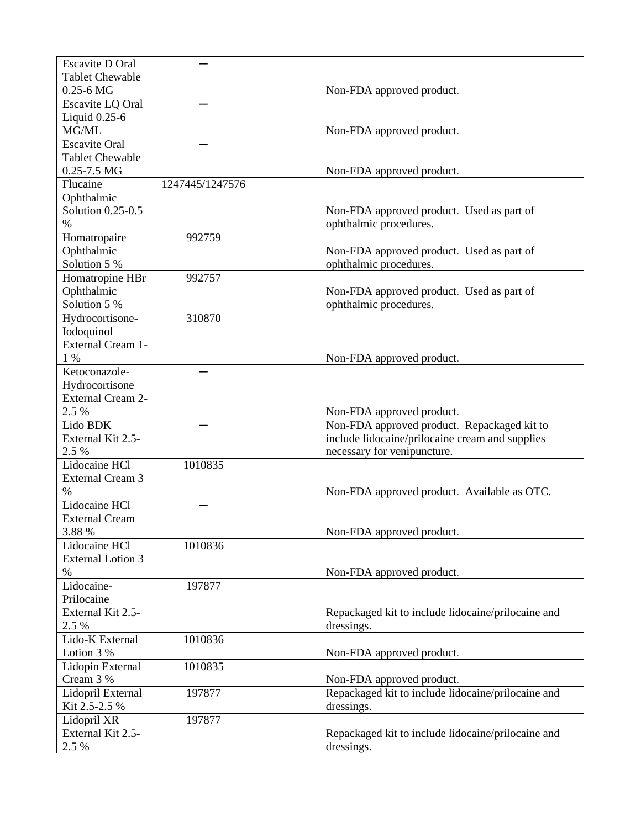| <b>Escavite D Oral</b>   |                 |                                                    |
|--------------------------|-----------------|----------------------------------------------------|
| <b>Tablet Chewable</b>   |                 |                                                    |
| $0.25 - 6$ MG            |                 | Non-FDA approved product.                          |
| Escavite LQ Oral         |                 |                                                    |
| Liquid 0.25-6            |                 |                                                    |
| MG/ML                    |                 | Non-FDA approved product.                          |
| <b>Escavite Oral</b>     |                 |                                                    |
| <b>Tablet Chewable</b>   |                 |                                                    |
| $0.25 - 7.5$ MG          |                 | Non-FDA approved product.                          |
| Flucaine                 | 1247445/1247576 |                                                    |
| Ophthalmic               |                 |                                                    |
| Solution 0.25-0.5        |                 | Non-FDA approved product. Used as part of          |
| $\%$                     |                 | ophthalmic procedures.                             |
| Homatropaire             | 992759          |                                                    |
| Ophthalmic               |                 | Non-FDA approved product. Used as part of          |
| Solution 5 %             |                 | ophthalmic procedures.                             |
| Homatropine HBr          | 992757          |                                                    |
| Ophthalmic               |                 | Non-FDA approved product. Used as part of          |
| Solution 5 %             |                 | ophthalmic procedures.                             |
| Hydrocortisone-          | 310870          |                                                    |
| Iodoquinol               |                 |                                                    |
| External Cream 1-        |                 |                                                    |
| $1\%$                    |                 | Non-FDA approved product.                          |
| Ketoconazole-            |                 |                                                    |
| Hydrocortisone           |                 |                                                    |
| <b>External Cream 2-</b> |                 |                                                    |
| 2.5 %                    |                 | Non-FDA approved product.                          |
| Lido BDK                 |                 | Non-FDA approved product. Repackaged kit to        |
| External Kit 2.5-        |                 | include lidocaine/prilocaine cream and supplies    |
| 2.5 %                    |                 | necessary for venipuncture.                        |
| Lidocaine HCl            | 1010835         |                                                    |
| <b>External Cream 3</b>  |                 |                                                    |
| $\%$                     |                 | Non-FDA approved product. Available as OTC.        |
| Lidocaine HCl            |                 |                                                    |
| <b>External Cream</b>    |                 |                                                    |
| 3.88 %                   |                 | Non-FDA approved product.                          |
| Lidocaine HCl            | 1010836         |                                                    |
| <b>External Lotion 3</b> |                 |                                                    |
| $\%$                     |                 | Non-FDA approved product.                          |
| Lidocaine-               | 197877          |                                                    |
| Prilocaine               |                 |                                                    |
| External Kit 2.5-        |                 | Repackaged kit to include lidocaine/prilocaine and |
| 2.5 %                    |                 | dressings.                                         |
| Lido-K External          | 1010836         |                                                    |
| Lotion 3 %               |                 | Non-FDA approved product.                          |
| Lidopin External         | 1010835         |                                                    |
| Cream 3 %                |                 | Non-FDA approved product.                          |
| Lidopril External        | 197877          | Repackaged kit to include lidocaine/prilocaine and |
| Kit 2.5-2.5 %            |                 | dressings.                                         |
| Lidopril XR              | 197877          |                                                    |
| External Kit 2.5-        |                 | Repackaged kit to include lidocaine/prilocaine and |
| 2.5 %                    |                 | dressings.                                         |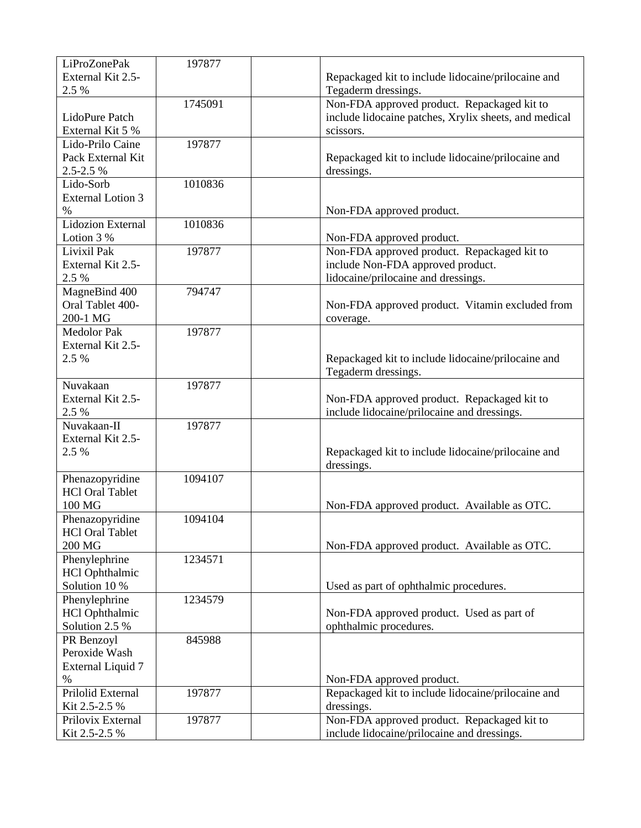| LiProZonePak                | 197877  |                                                       |
|-----------------------------|---------|-------------------------------------------------------|
| External Kit 2.5-           |         | Repackaged kit to include lidocaine/prilocaine and    |
| 2.5 %                       |         | Tegaderm dressings.                                   |
|                             | 1745091 | Non-FDA approved product. Repackaged kit to           |
| LidoPure Patch              |         | include lidocaine patches, Xrylix sheets, and medical |
| External Kit 5 %            |         | scissors.                                             |
| Lido-Prilo Caine            | 197877  |                                                       |
| Pack External Kit           |         | Repackaged kit to include lidocaine/prilocaine and    |
| 2.5-2.5 %                   |         | dressings.                                            |
| Lido-Sorb                   | 1010836 |                                                       |
| <b>External Lotion 3</b>    |         |                                                       |
| $\%$                        |         | Non-FDA approved product.                             |
| <b>Lidozion External</b>    | 1010836 |                                                       |
| Lotion 3 %                  |         | Non-FDA approved product.                             |
| Livixil Pak                 | 197877  | Non-FDA approved product. Repackaged kit to           |
| External Kit 2.5-           |         | include Non-FDA approved product.                     |
| 2.5 %                       |         | lidocaine/prilocaine and dressings.                   |
| MagneBind 400               | 794747  |                                                       |
| Oral Tablet 400-            |         | Non-FDA approved product. Vitamin excluded from       |
| 200-1 MG                    |         |                                                       |
| <b>Medolor Pak</b>          | 197877  | coverage.                                             |
| External Kit 2.5-           |         |                                                       |
| 2.5 %                       |         | Repackaged kit to include lidocaine/prilocaine and    |
|                             |         | Tegaderm dressings.                                   |
| Nuvakaan                    | 197877  |                                                       |
| External Kit 2.5-           |         | Non-FDA approved product. Repackaged kit to           |
| 2.5 %                       |         | include lidocaine/prilocaine and dressings.           |
| Nuvakaan-II                 | 197877  |                                                       |
| External Kit 2.5-           |         |                                                       |
| 2.5 %                       |         | Repackaged kit to include lidocaine/prilocaine and    |
|                             |         | dressings.                                            |
| Phenazopyridine             | 1094107 |                                                       |
| <b>HCl Oral Tablet</b>      |         |                                                       |
| 100 MG                      |         | Non-FDA approved product. Available as OTC.           |
| Phenazopyridine             | 1094104 |                                                       |
| <b>HCl Oral Tablet</b>      |         |                                                       |
| 200 MG                      |         | Non-FDA approved product. Available as OTC.           |
| Phenylephrine               | 1234571 |                                                       |
| <b>HCl Ophthalmic</b>       |         |                                                       |
| Solution 10 %               |         | Used as part of ophthalmic procedures.                |
| Phenylephrine               | 1234579 |                                                       |
| <b>HCl Ophthalmic</b>       |         | Non-FDA approved product. Used as part of             |
| Solution 2.5 %              |         | ophthalmic procedures.                                |
|                             |         |                                                       |
| PR Benzoyl<br>Peroxide Wash | 845988  |                                                       |
|                             |         |                                                       |
| <b>External Liquid 7</b>    |         |                                                       |
| $\%$                        |         | Non-FDA approved product.                             |
| Prilolid External           | 197877  | Repackaged kit to include lidocaine/prilocaine and    |
| Kit 2.5-2.5 %               |         | dressings.                                            |
| Prilovix External           | 197877  | Non-FDA approved product. Repackaged kit to           |
| Kit 2.5-2.5 %               |         | include lidocaine/prilocaine and dressings.           |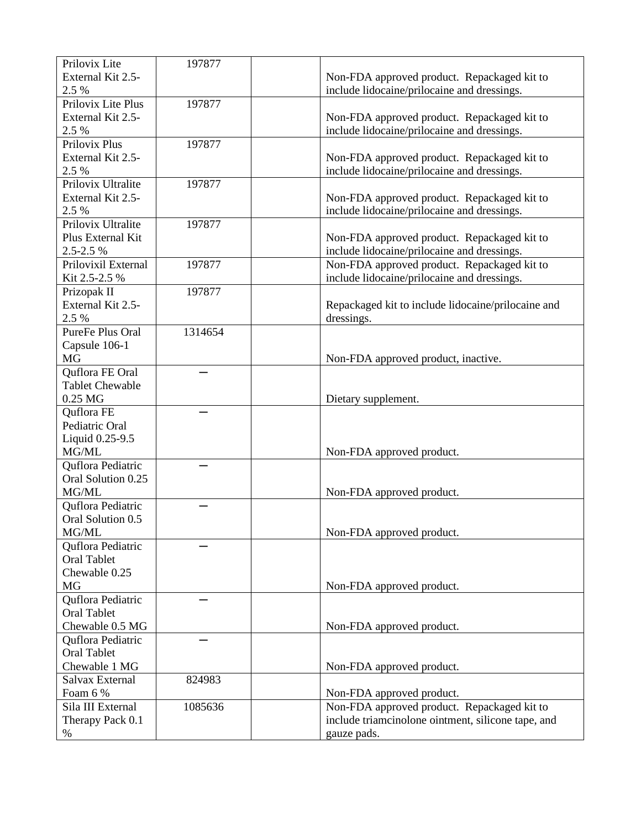| Prilovix Lite          | 197877  |                                                    |
|------------------------|---------|----------------------------------------------------|
| External Kit 2.5-      |         | Non-FDA approved product. Repackaged kit to        |
| 2.5 %                  |         | include lidocaine/prilocaine and dressings.        |
| Prilovix Lite Plus     | 197877  |                                                    |
| External Kit 2.5-      |         | Non-FDA approved product. Repackaged kit to        |
| 2.5 %                  |         | include lidocaine/prilocaine and dressings.        |
| Prilovix Plus          | 197877  |                                                    |
| External Kit 2.5-      |         | Non-FDA approved product. Repackaged kit to        |
| 2.5 %                  |         | include lidocaine/prilocaine and dressings.        |
| Prilovix Ultralite     | 197877  |                                                    |
| External Kit 2.5-      |         | Non-FDA approved product. Repackaged kit to        |
| 2.5 %                  |         | include lidocaine/prilocaine and dressings.        |
| Prilovix Ultralite     | 197877  |                                                    |
| Plus External Kit      |         | Non-FDA approved product. Repackaged kit to        |
| 2.5-2.5 %              |         | include lidocaine/prilocaine and dressings.        |
| Prilovixil External    | 197877  | Non-FDA approved product. Repackaged kit to        |
| Kit 2.5-2.5 %          |         | include lidocaine/prilocaine and dressings.        |
| Prizopak II            | 197877  |                                                    |
| External Kit 2.5-      |         | Repackaged kit to include lidocaine/prilocaine and |
| 2.5 %                  |         | dressings.                                         |
| PureFe Plus Oral       | 1314654 |                                                    |
| Capsule 106-1          |         |                                                    |
| MG                     |         | Non-FDA approved product, inactive.                |
| Quflora FE Oral        |         |                                                    |
| <b>Tablet Chewable</b> |         |                                                    |
| $0.25$ MG              |         | Dietary supplement.                                |
| Quflora FE             |         |                                                    |
| Pediatric Oral         |         |                                                    |
| Liquid 0.25-9.5        |         |                                                    |
| MG/ML                  |         | Non-FDA approved product.                          |
| Quflora Pediatric      |         |                                                    |
| Oral Solution 0.25     |         |                                                    |
| MG/ML                  |         | Non-FDA approved product.                          |
| Quflora Pediatric      |         |                                                    |
| Oral Solution 0.5      |         |                                                    |
| MG/ML                  |         | Non-FDA approved product.                          |
| Quflora Pediatric      |         |                                                    |
| <b>Oral Tablet</b>     |         |                                                    |
| Chewable 0.25          |         |                                                    |
| MG                     |         | Non-FDA approved product.                          |
| Quflora Pediatric      |         |                                                    |
| <b>Oral Tablet</b>     |         |                                                    |
| Chewable 0.5 MG        |         | Non-FDA approved product.                          |
| Quflora Pediatric      |         |                                                    |
| <b>Oral Tablet</b>     |         |                                                    |
| Chewable 1 MG          |         | Non-FDA approved product.                          |
| Salvax External        | 824983  |                                                    |
| Foam 6 %               |         | Non-FDA approved product.                          |
| Sila III External      | 1085636 | Non-FDA approved product. Repackaged kit to        |
| Therapy Pack 0.1       |         | include triamcinolone ointment, silicone tape, and |
| $\%$                   |         | gauze pads.                                        |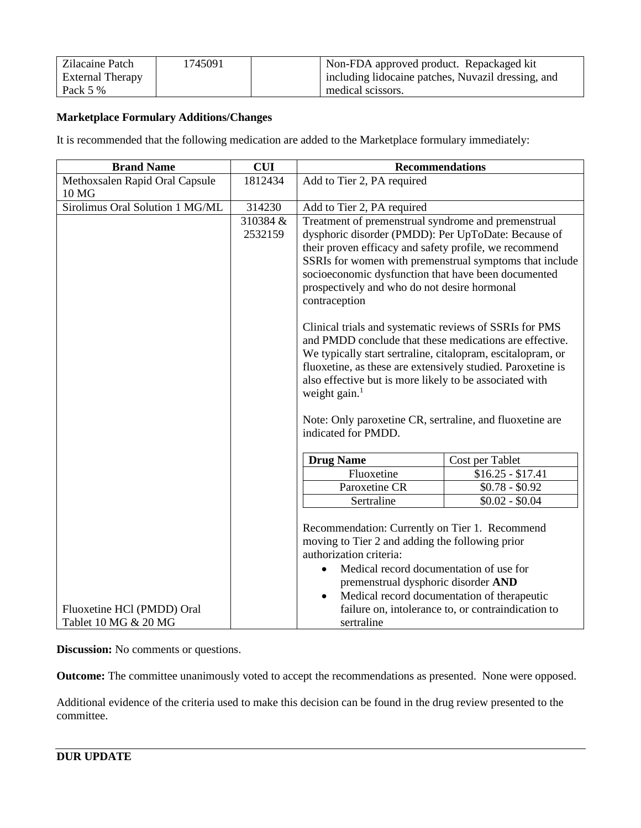| Zilacaine Patch         | 1745091 | Non-FDA approved product. Repackaged kit           |
|-------------------------|---------|----------------------------------------------------|
| <b>External Therapy</b> |         | including lidocaine patches, Nuvazil dressing, and |
| Pack 5 %                |         | medical scissors.                                  |

# **Marketplace Formulary Additions/Changes**

It is recommended that the following medication are added to the Marketplace formulary immediately:

| <b>Brand Name</b>                                  | <b>CUI</b>          | <b>Recommendations</b>                                                                                                                                                                                                                                                                                                                                                                                                                                                                                                                                                                                                                                                                                                                                                                 |                   |  |
|----------------------------------------------------|---------------------|----------------------------------------------------------------------------------------------------------------------------------------------------------------------------------------------------------------------------------------------------------------------------------------------------------------------------------------------------------------------------------------------------------------------------------------------------------------------------------------------------------------------------------------------------------------------------------------------------------------------------------------------------------------------------------------------------------------------------------------------------------------------------------------|-------------------|--|
| Methoxsalen Rapid Oral Capsule                     | 1812434             | Add to Tier 2, PA required                                                                                                                                                                                                                                                                                                                                                                                                                                                                                                                                                                                                                                                                                                                                                             |                   |  |
| 10 MG                                              |                     |                                                                                                                                                                                                                                                                                                                                                                                                                                                                                                                                                                                                                                                                                                                                                                                        |                   |  |
| Sirolimus Oral Solution 1 MG/ML                    | 314230              | Add to Tier 2, PA required                                                                                                                                                                                                                                                                                                                                                                                                                                                                                                                                                                                                                                                                                                                                                             |                   |  |
|                                                    | 310384 &<br>2532159 | Treatment of premenstrual syndrome and premenstrual<br>dysphoric disorder (PMDD): Per UpToDate: Because of<br>their proven efficacy and safety profile, we recommend<br>SSRIs for women with premenstrual symptoms that include<br>socioeconomic dysfunction that have been documented<br>prospectively and who do not desire hormonal<br>contraception<br>Clinical trials and systematic reviews of SSRIs for PMS<br>and PMDD conclude that these medications are effective.<br>We typically start sertraline, citalopram, escitalopram, or<br>fluoxetine, as these are extensively studied. Paroxetine is<br>also effective but is more likely to be associated with<br>weight gain. <sup>1</sup><br>Note: Only paroxetine CR, sertraline, and fluoxetine are<br>indicated for PMDD. |                   |  |
|                                                    |                     |                                                                                                                                                                                                                                                                                                                                                                                                                                                                                                                                                                                                                                                                                                                                                                                        |                   |  |
|                                                    |                     | <b>Drug Name</b>                                                                                                                                                                                                                                                                                                                                                                                                                                                                                                                                                                                                                                                                                                                                                                       | Cost per Tablet   |  |
|                                                    |                     | Fluoxetine                                                                                                                                                                                                                                                                                                                                                                                                                                                                                                                                                                                                                                                                                                                                                                             | $$16.25 - $17.41$ |  |
|                                                    |                     | Paroxetine CR                                                                                                                                                                                                                                                                                                                                                                                                                                                                                                                                                                                                                                                                                                                                                                          | $$0.78 - $0.92$$  |  |
|                                                    |                     | Sertraline                                                                                                                                                                                                                                                                                                                                                                                                                                                                                                                                                                                                                                                                                                                                                                             | $$0.02 - $0.04$   |  |
| Fluoxetine HCl (PMDD) Oral<br>Tablet 10 MG & 20 MG |                     | Recommendation: Currently on Tier 1. Recommend<br>moving to Tier 2 and adding the following prior<br>authorization criteria:<br>Medical record documentation of use for<br>$\bullet$<br>premenstrual dysphoric disorder AND<br>Medical record documentation of therapeutic<br>$\bullet$<br>failure on, intolerance to, or contraindication to<br>sertraline                                                                                                                                                                                                                                                                                                                                                                                                                            |                   |  |

**Discussion:** No comments or questions.

**Outcome:** The committee unanimously voted to accept the recommendations as presented. None were opposed.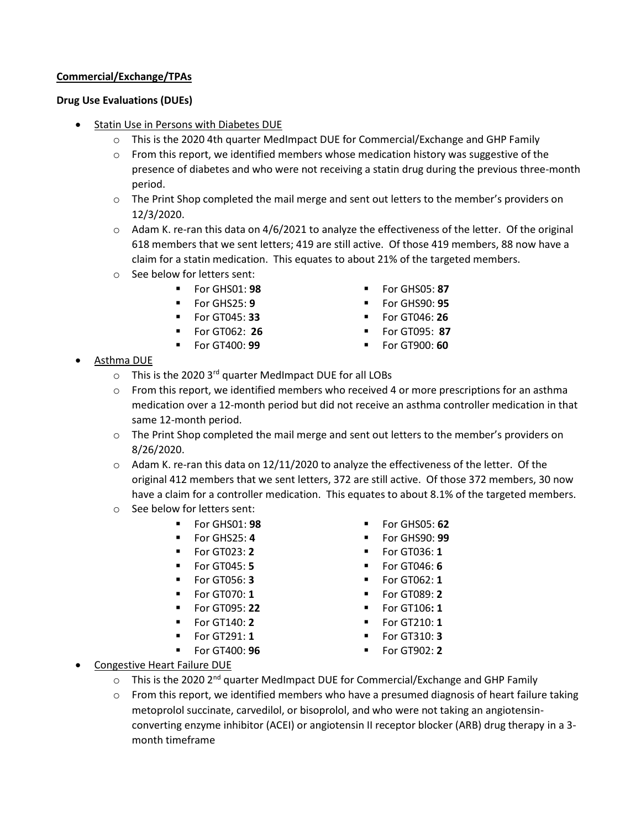# **Commercial/Exchange/TPAs**

# **Drug Use Evaluations (DUEs)**

- Statin Use in Persons with Diabetes DUE
	- $\circ$  This is the 2020 4th quarter MedImpact DUE for Commercial/Exchange and GHP Family
	- $\circ$  From this report, we identified members whose medication history was suggestive of the presence of diabetes and who were not receiving a statin drug during the previous three-month period.
	- o The Print Shop completed the mail merge and sent out letters to the member's providers on 12/3/2020.
	- $\circ$  Adam K. re-ran this data on 4/6/2021 to analyze the effectiveness of the letter. Of the original 618 members that we sent letters; 419 are still active. Of those 419 members, 88 now have a claim for a statin medication. This equates to about 21% of the targeted members.
	- o See below for letters sent:
		-
		-
		-
		-
		- For GHS01: **98 ■** For GHS05: **87**
		- For GHS25: **9** For GHS90: **95**
		- For GT045: **33** For GT046: **26**
			- For GT062: **26** For GT095: **87**
		- For GT400: **99 ■** For GT900: **60**
- Asthma DUE
	- o This is the 2020 3rd quarter MedImpact DUE for all LOBs
	- $\circ$  From this report, we identified members who received 4 or more prescriptions for an asthma medication over a 12-month period but did not receive an asthma controller medication in that same 12-month period.
	- $\circ$  The Print Shop completed the mail merge and sent out letters to the member's providers on 8/26/2020.
	- $\circ$  Adam K. re-ran this data on 12/11/2020 to analyze the effectiveness of the letter. Of the original 412 members that we sent letters, 372 are still active. Of those 372 members, 30 now have a claim for a controller medication. This equates to about 8.1% of the targeted members.
	- o See below for letters sent:
		-
		-
		-
		-
		-
		-
		-
		- For GT140: **2**
		- For GT291: **1**
		- For GT400: **96**
- For GHS01: **98** For GHS05: **62**
- For GHS25: 4  **For GHS90: 99** 
	- For GT023: **2** For GT036: **1**
	- For GT045: **5** For GT046: **6**
	- For GT056: **3** For GT062: **1**
- For GT070: **1 ■** For GT089: **2** 
	- **For GT095: 22 Example 1 For GT106: 1** 
		- For GT210: **1**
		- For GT310: **3**
		- For GT902: **2**

- **Congestive Heart Failure DUE** 
	- $\circ$  This is the 2020 2<sup>nd</sup> quarter MedImpact DUE for Commercial/Exchange and GHP Family
	- $\circ$  From this report, we identified members who have a presumed diagnosis of heart failure taking metoprolol succinate, carvedilol, or bisoprolol, and who were not taking an angiotensinconverting enzyme inhibitor (ACEI) or angiotensin II receptor blocker (ARB) drug therapy in a 3 month timeframe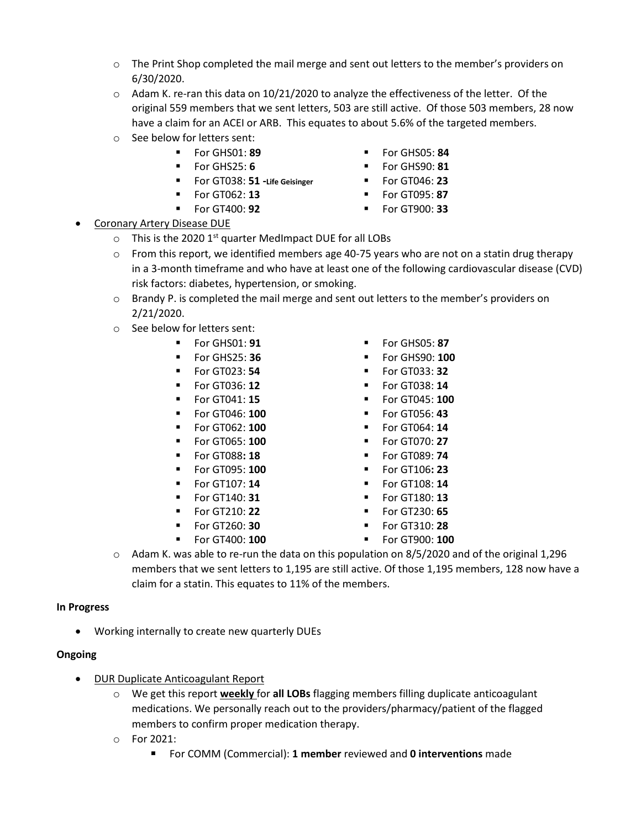- o The Print Shop completed the mail merge and sent out letters to the member's providers on 6/30/2020.
- $\circ$  Adam K. re-ran this data on 10/21/2020 to analyze the effectiveness of the letter. Of the original 559 members that we sent letters, 503 are still active. Of those 503 members, 28 now have a claim for an ACEI or ARB. This equates to about 5.6% of the targeted members.
- o See below for letters sent:
	- For GHS01: **89 ■** For GHS05: **84**
	- For GHS25: **6** For GHS90: **81**
	- For GT038: **51 -Life Geisinger**
	- For GT062: **13**
	- For GT400: **92** For GT900: **33**
- 
- For GT046: **23**
- For GT095: **87**
- 

- **Coronary Artery Disease DUE** 
	- $\circ$  This is the 2020 1<sup>st</sup> quarter MedImpact DUE for all LOBs
	- $\circ$  From this report, we identified members age 40-75 years who are not on a statin drug therapy in a 3-month timeframe and who have at least one of the following cardiovascular disease (CVD) risk factors: diabetes, hypertension, or smoking.
	- o Brandy P. is completed the mail merge and sent out letters to the member's providers on 2/21/2020.
	- o See below for letters sent:
		-
		-
		-
		-
		-
		-
		-
		-
		-
		-
		-
		-
		-
		-
		-
- For GHS01: **91** For GHS05: **87**
	-
	-
- For GT036: **12** For GT038: **14**
	- For GT041: **15** For GT045: **100**
	- For GT046: **100** For GT056: **43**
	- **For GT062: 100 Example 14 For GT064: 14**
	- **For GT065: 100 Example 100 Example 100 For GT070: 27**
	- **For GT088: 18 •** For GT089: **74**
	- For GT095: **100** For GT106**: 23**
- For GT107: **14** For GT108: **14** 
	- For GT140: **31** For GT180: **13**
	- **For GT210: 22 ■** For GT230: 65
	- For GT260: **30** For GT310: **28**
- For GT400: **100** For GT900: **100**
- $\circ$  Adam K. was able to re-run the data on this population on 8/5/2020 and of the original 1,296 members that we sent letters to 1,195 are still active. Of those 1,195 members, 128 now have a claim for a statin. This equates to 11% of the members.

# **In Progress**

• Working internally to create new quarterly DUEs

# **Ongoing**

- DUR Duplicate Anticoagulant Report
	- o We get this report **weekly** for **all LOBs** flagging members filling duplicate anticoagulant medications. We personally reach out to the providers/pharmacy/patient of the flagged members to confirm proper medication therapy.
	- o For 2021:
		- For COMM (Commercial): 1 member reviewed and 0 interventions made
- -
	-
	-
	-
	-
	-
	-
- For GHS25: **36** For GHS90: **100** ▪ For GT023: **54** ▪ For GT033: **32**
	- -
		-
		-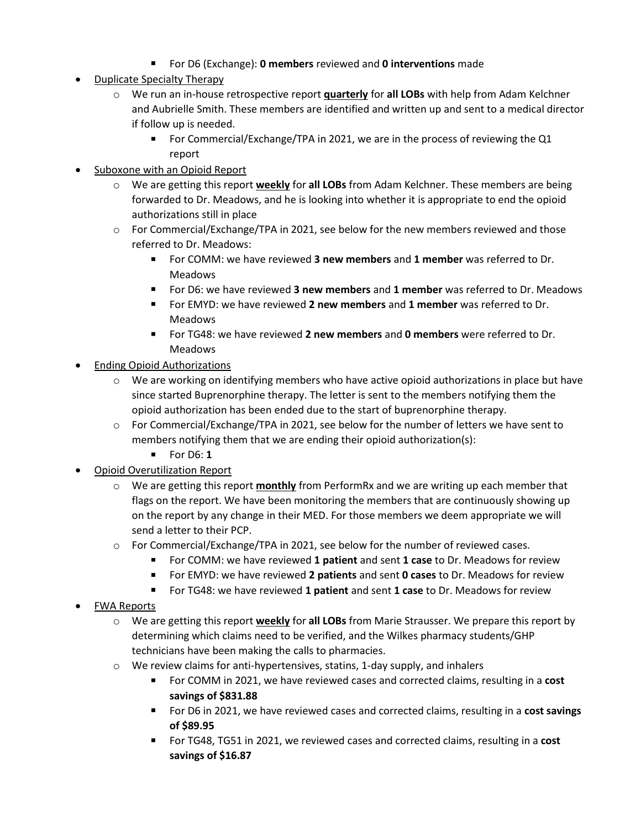- For D6 (Exchange): **0 members** reviewed and **0 interventions** made
- Duplicate Specialty Therapy
	- o We run an in-house retrospective report **quarterly** for **all LOBs** with help from Adam Kelchner and Aubrielle Smith. These members are identified and written up and sent to a medical director if follow up is needed.
		- For Commercial/Exchange/TPA in 2021, we are in the process of reviewing the Q1 report
- Suboxone with an Opioid Report
	- o We are getting this report **weekly** for **all LOBs** from Adam Kelchner. These members are being forwarded to Dr. Meadows, and he is looking into whether it is appropriate to end the opioid authorizations still in place
	- o For Commercial/Exchange/TPA in 2021, see below for the new members reviewed and those referred to Dr. Meadows:
		- For COMM: we have reviewed **3 new members** and **1 member** was referred to Dr. Meadows
		- For D6: we have reviewed **3 new members** and 1 member was referred to Dr. Meadows
		- For EMYD: we have reviewed **2 new members** and **1 member** was referred to Dr. Meadows
		- For TG48: we have reviewed **2 new members** and **0 members** were referred to Dr. Meadows
- **Ending Opioid Authorizations** 
	- $\circ$  We are working on identifying members who have active opioid authorizations in place but have since started Buprenorphine therapy. The letter is sent to the members notifying them the opioid authorization has been ended due to the start of buprenorphine therapy.
	- $\circ$  For Commercial/Exchange/TPA in 2021, see below for the number of letters we have sent to members notifying them that we are ending their opioid authorization(s):
		- For D6: **1**
- Opioid Overutilization Report
	- o We are getting this report **monthly** from PerformRx and we are writing up each member that flags on the report. We have been monitoring the members that are continuously showing up on the report by any change in their MED. For those members we deem appropriate we will send a letter to their PCP.
	- $\circ$  For Commercial/Exchange/TPA in 2021, see below for the number of reviewed cases.
		- For COMM: we have reviewed **1 patient** and sent **1 case** to Dr. Meadows for review
		- For EMYD: we have reviewed 2 patients and sent 0 cases to Dr. Meadows for review
		- For TG48: we have reviewed 1 patient and sent 1 case to Dr. Meadows for review
- FWA Reports
	- o We are getting this report **weekly** for **all LOBs** from Marie Strausser. We prepare this report by determining which claims need to be verified, and the Wilkes pharmacy students/GHP technicians have been making the calls to pharmacies.
	- o We review claims for anti-hypertensives, statins, 1-day supply, and inhalers
		- For COMM in 2021, we have reviewed cases and corrected claims, resulting in a **cost savings of \$831.88**
		- For D6 in 2021, we have reviewed cases and corrected claims, resulting in a **cost savings of \$89.95**
		- For TG48, TG51 in 2021, we reviewed cases and corrected claims, resulting in a cost **savings of \$16.87**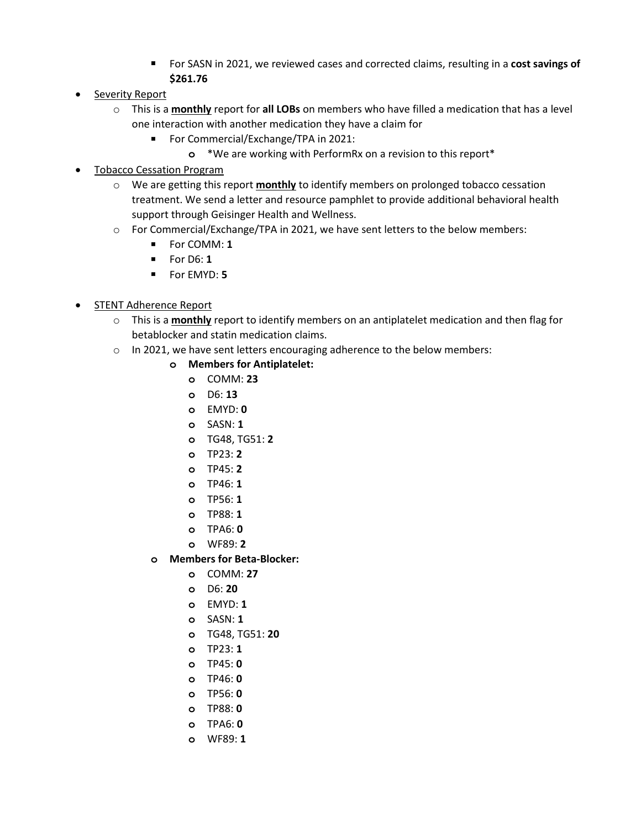- For SASN in 2021, we reviewed cases and corrected claims, resulting in a **cost savings of \$261.76**
- Severity Report
	- o This is a **monthly** report for **all LOBs** on members who have filled a medication that has a level one interaction with another medication they have a claim for
		- For Commercial/Exchange/TPA in 2021:
			- **o** \*We are working with PerformRx on a revision to this report\*
- Tobacco Cessation Program
	- o We are getting this report **monthly** to identify members on prolonged tobacco cessation treatment. We send a letter and resource pamphlet to provide additional behavioral health support through Geisinger Health and Wellness.
	- o For Commercial/Exchange/TPA in 2021, we have sent letters to the below members:
		- For COMM: **1**
		- For D6: **1**
		- For EMYD: **5**
- STENT Adherence Report
	- o This is a **monthly** report to identify members on an antiplatelet medication and then flag for betablocker and statin medication claims.
	- o In 2021, we have sent letters encouraging adherence to the below members:
		- **o Members for Antiplatelet:**
			- **o** COMM: **23**
			- **o** D6: **13**
			- **o** EMYD: **0**
			- **o** SASN: **1**
			- **o** TG48, TG51: **2**
			- **o** TP23: **2**
			- **o** TP45: **2**
			- **o** TP46: **1**
			- **o** TP56: **1**
			- **o** TP88: **1**
			- **o** TPA6: **0**
			- **o** WF89: **2**
		- **o Members for Beta-Blocker:**
			- **o** COMM: **27**
			- **o** D6: **20**
			- **o** EMYD: **1**
			- **o** SASN: **1**
			- **o** TG48, TG51: **20**
			- **o** TP23: **1**
			- **o** TP45: **0**
			- **o** TP46: **0**
			- **o** TP56: **0**
			- **o** TP88: **0**
			- **o** TPA6: **0**
			- **o** WF89: **1**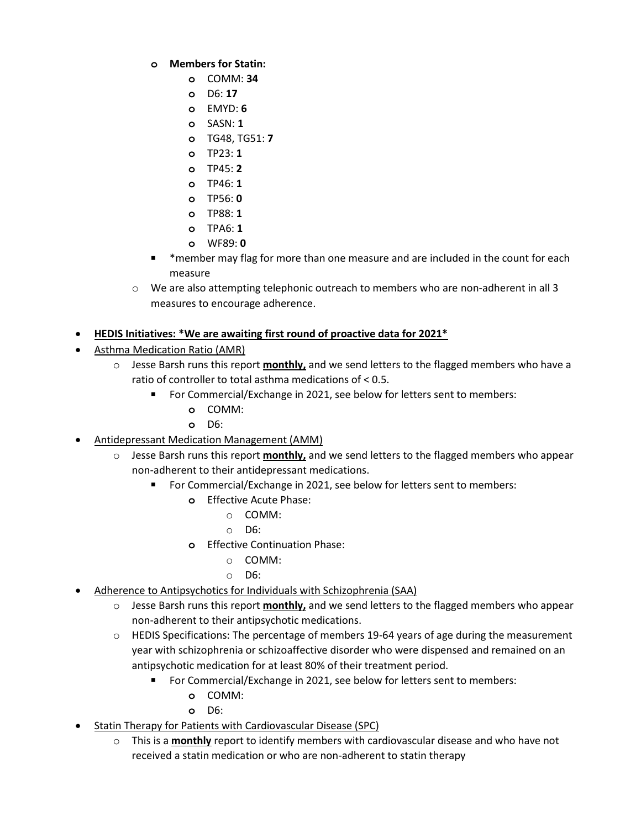- **o Members for Statin:**
	- **o** COMM: **34**
	- **o** D6: **17**
	- **o** EMYD: **6**
	- **o** SASN: **1**
	- **o** TG48, TG51: **7**
	- **o** TP23: **1**
	- **o** TP45: **2**
	- **o** TP46: **1**
	- **o** TP56: **0**
	- **o** TP88: **1**
	- **o** TPA6: **1**
	- **o** WF89: **0**
- \*member may flag for more than one measure and are included in the count for each measure
- o We are also attempting telephonic outreach to members who are non-adherent in all 3 measures to encourage adherence.
- **HEDIS Initiatives: \*We are awaiting first round of proactive data for 2021\***
- Asthma Medication Ratio (AMR)
	- o Jesse Barsh runs this report **monthly,** and we send letters to the flagged members who have a ratio of controller to total asthma medications of < 0.5.
		- For Commercial/Exchange in 2021, see below for letters sent to members:
			- **o** COMM:
			- **o** D6:
- Antidepressant Medication Management (AMM)
	- o Jesse Barsh runs this report **monthly,** and we send letters to the flagged members who appear non-adherent to their antidepressant medications.
		- For Commercial/Exchange in 2021, see below for letters sent to members:
			- **o** Effective Acute Phase:
				- o COMM:
				- o D6:
			- **o** Effective Continuation Phase:
				- o COMM:
				- o D6:
- Adherence to Antipsychotics for Individuals with Schizophrenia (SAA)
	- o Jesse Barsh runs this report **monthly,** and we send letters to the flagged members who appear non-adherent to their antipsychotic medications.
	- $\circ$  HEDIS Specifications: The percentage of members 19-64 years of age during the measurement year with schizophrenia or schizoaffective disorder who were dispensed and remained on an antipsychotic medication for at least 80% of their treatment period.
		- For Commercial/Exchange in 2021, see below for letters sent to members:
			- **o** COMM:
			- **o** D6:
- Statin Therapy for Patients with Cardiovascular Disease (SPC)
	- o This is a **monthly** report to identify members with cardiovascular disease and who have not received a statin medication or who are non-adherent to statin therapy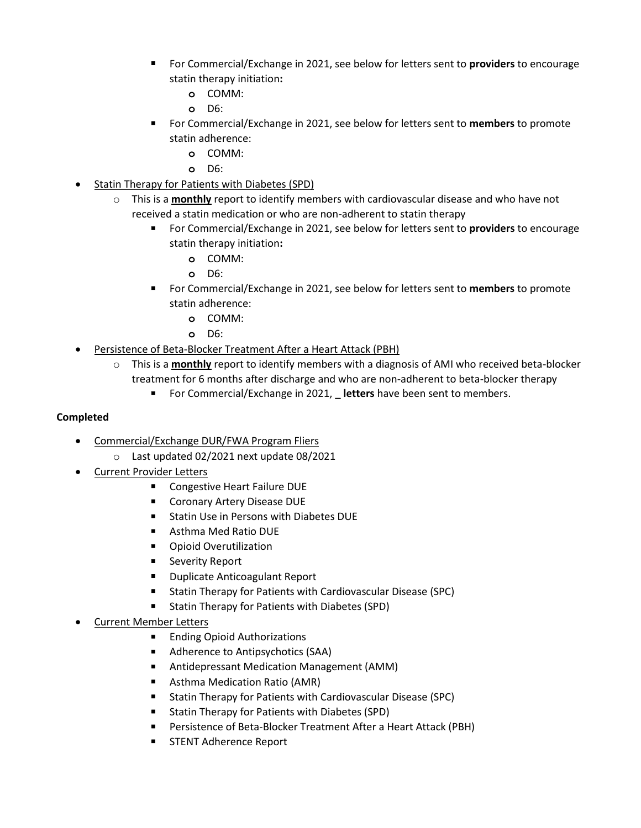- For Commercial/Exchange in 2021, see below for letters sent to **providers** to encourage statin therapy initiation**:**
	- **o** COMM:
	- **o** D6:
- For Commercial/Exchange in 2021, see below for letters sent to **members** to promote statin adherence:
	- **o** COMM:
	- **o** D6:
- Statin Therapy for Patients with Diabetes (SPD)
	- o This is a **monthly** report to identify members with cardiovascular disease and who have not received a statin medication or who are non-adherent to statin therapy
		- For Commercial/Exchange in 2021, see below for letters sent to **providers** to encourage statin therapy initiation**:**
			- **o** COMM:
			- **o** D6:
		- For Commercial/Exchange in 2021, see below for letters sent to **members** to promote statin adherence:
			- **o** COMM:
			- **o** D6:
- Persistence of Beta-Blocker Treatment After a Heart Attack (PBH)
	- o This is a **monthly** report to identify members with a diagnosis of AMI who received beta-blocker treatment for 6 months after discharge and who are non-adherent to beta-blocker therapy
		- For Commercial/Exchange in 2021, Letters have been sent to members.

# **Completed**

- Commercial/Exchange DUR/FWA Program Fliers
	- o Last updated 02/2021 next update 08/2021
- Current Provider Letters
	- Congestive Heart Failure DUE
	- Coronary Artery Disease DUE
	- Statin Use in Persons with Diabetes DUE
	- Asthma Med Ratio DUE
	- Opioid Overutilization
	- Severity Report
	- Duplicate Anticoagulant Report
	- Statin Therapy for Patients with Cardiovascular Disease (SPC)
	- Statin Therapy for Patients with Diabetes (SPD)

# • Current Member Letters

- Ending Opioid Authorizations
- Adherence to Antipsychotics (SAA)
- Antidepressant Medication Management (AMM)
- Asthma Medication Ratio (AMR)
- Statin Therapy for Patients with Cardiovascular Disease (SPC)
- Statin Therapy for Patients with Diabetes (SPD)
- Persistence of Beta-Blocker Treatment After a Heart Attack (PBH)
- STENT Adherence Report